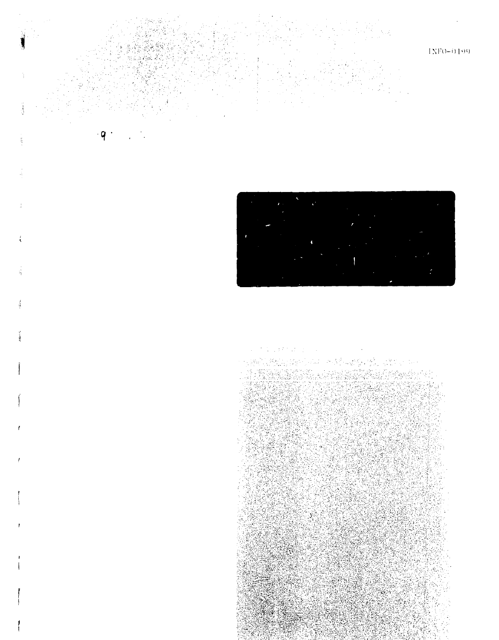

a magakhar ya sa

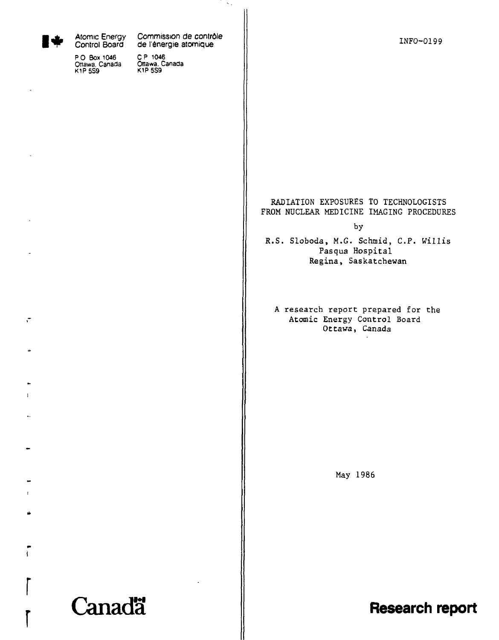

 $\ddot{\phantom{a}}$ 

 $\mathbf{i}$ 

Atomic Energy Control Board

P 0 Box 1046 Ottawa. Canada K1PSS9

Commission de contrôle de l'énergie atomique

 $\sim$  .

CP 1046 Ottawa. Canada K1P5S9

# RADIATION EXPOSURES TO TECHNOLOGISTS FROM NUCLEAR MEDICINE IMAGING PROCEDURES

by

R.S. Sloboda, M.G. Schmid, C.P. Willis Pasqua Hospital Regina, Saskatchewan

A research report prepared for the Atomic Energy Control Board Ottawa, Canada

May 1986

Canadä

**Research report**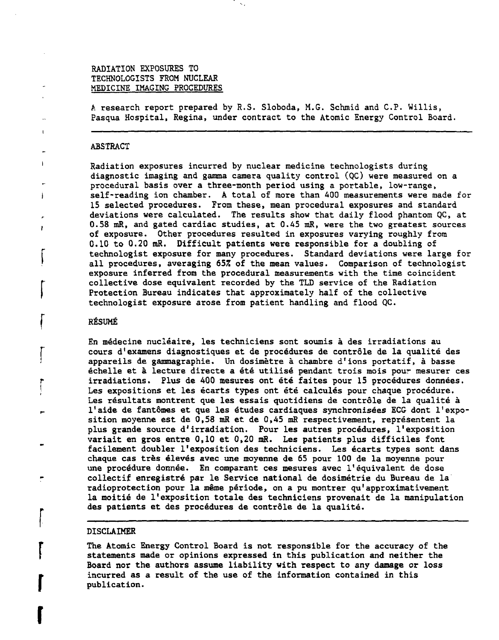# RADIATION EXPOSURES TO TECHNOLOGISTS FROM NUCLEAR MEDICINE IMAGING PROCEDURES

A research report prepared by R.S. Sloboda, M.G. Schmid and C.P. Willis, Pasqua Hospital, Regina, under contract to the Atomic Energy Control Board.

#### ABSTRACT

Radiation exposures incurred by nuclear medicine technologists during diagnostic imaging and gamma camera quality control (QC) were measured on a procedural basis over a three-month period using a portable, low-range, self-reading ion chamber. A total of more than 400 measurements were made for 15 selected procedures. From these, mean procedural exposures and standard deviations were calculated. The results show that daily flood phantom QC, at 0.58 mR, and gated cardiac studies, at 0.A5 mR, were the two greatest sources of exposure. Other procedures resulted in exposures varying roughly from 0.10 to 0.20 mR. Difficult patients were responsible for a doubling of technologist exposure for many procedures. Standard deviations were large for all procedures, averaging 657. of the mean values. Comparison of technologist exposure inferred from the procedural measurements with the time coincident collective dose equivalent recorded by the TLD service of the Radiation Protection Bureau indicates that approximately half of the collective technologist exposure arose from patient handling and flood QC.

## RÉSUMÉ

**r**

f.

j

ł

**r**

**r**

**r**

**r**

En médecine nucléaire, les techniciens sont soumis à des irradiations au cours d'examens diagnostiques et de procédures de contrôle de la qualité des appareils de gammagraphie. Un dosimètre à chambre d'ions portatif, à basse échelle et à lecture directe a été utilisé pendant trois mois pour mesurer ces irradiations. Plus de 400 mesures ont été faites pour 15 procédures données. Les expositions et les écarts types ont été calculés pour chaque procédure. Les résultats montrent que les essais quotidiens de contrôle de la qualité à l'aide de fantômes et que les études cardiaques synchronisées ECG dont l'exposition moyenne est de 0,58 mR et de 0,45 mR respectivement, représentent la plus grande source d'irradiation. Four les autres procédures, l'exposition variait en gros entre 0,10 et 0,20 mR. Les patients plus difficiles font facilement doubler l'exposition des techniciens. Les écarts types sont dans chaque cas très élevés avec une moyenne de 65 pour 100 de la moyenne pour une procédure donnée. En comparant ces mesures avec l'équivalent de dose collectif enregistré par le Service national de dosimétrie du Bureau de la radioprotection pour la même période, on a pu montrer qu'approximativement la moitié de l'exposition totale des techniciens provenait de la manipulation des patients et des procédures de contrôle de la qualité.

#### DISCLAIMER

The Atomic Energy Control Board is not responsible for the accuracy of the statements made or opinions expressed in this publication and neither the Board nor the authors assume liability with respect to any damage or loss incurred as a result of the use of the information contained in this publication.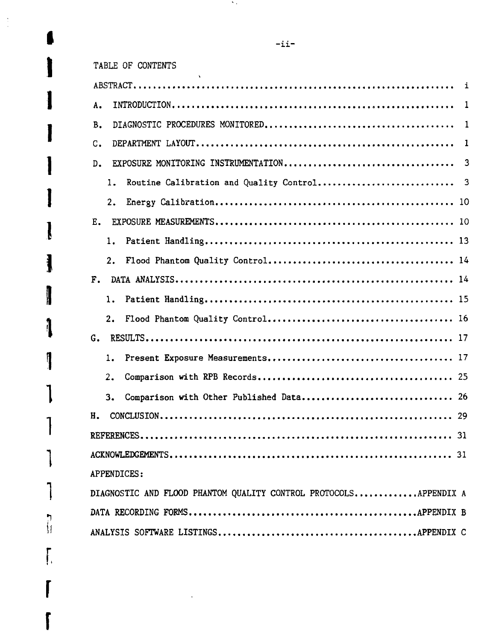**I**

 $\frac{1}{2}$ 

**I**

**r.**

I

**r**

**r**

|              |    |                                                                  | i            |
|--------------|----|------------------------------------------------------------------|--------------|
| Α.           |    |                                                                  | $\mathbf{1}$ |
|              |    |                                                                  |              |
| Β.           |    |                                                                  | $\mathbf{1}$ |
| C.           |    |                                                                  | $\mathbf{1}$ |
| D.           |    |                                                                  |              |
|              | 1. |                                                                  |              |
|              | 2. |                                                                  |              |
| $E_{\rm{m}}$ |    |                                                                  |              |
|              | 1. |                                                                  |              |
|              | 2. |                                                                  |              |
|              |    |                                                                  |              |
|              | 1. |                                                                  |              |
|              |    |                                                                  |              |
| G.           |    |                                                                  |              |
|              | 1. |                                                                  |              |
|              | 2. |                                                                  |              |
|              | 3. |                                                                  |              |
| Н.           |    |                                                                  |              |
|              |    |                                                                  |              |
|              |    |                                                                  |              |
|              |    | APPENDICES:                                                      |              |
|              |    | DIAGNOSTIC AND FLOOD PHANTOM QUALITY CONTROL PROTOCOLSAPPENDIX A |              |
|              |    |                                                                  |              |
|              |    |                                                                  |              |
|              |    |                                                                  |              |

 $\mathcal{N}_{\rm eff}$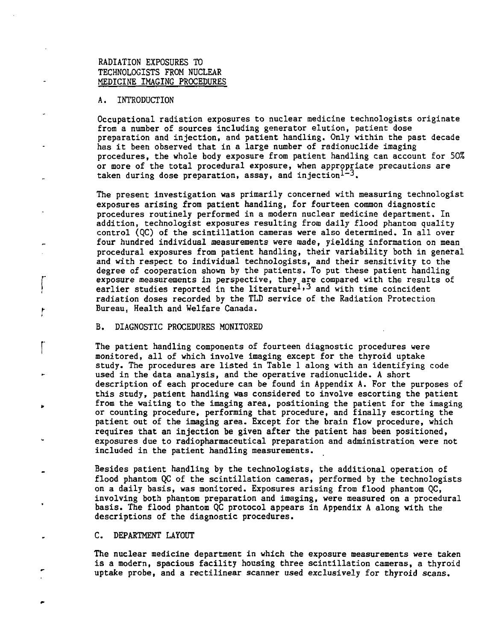# RADIATION EXPOSURES TO TECHNOLOGISTS FROM NUCLEAR MEDICINE IMAGING PROCEDURES

## A. INTRODUCTION

Occupational radiation exposures to nuclear medicine technologists originate from a number of sources including generator elution, patient dose preparation and injection, and patient handling. Only within the past decade has it been observed that in a large number of radionuclide imaging procedures, the whole body exposure from patient handling can account for 50% or more of the total procedural exposure, when appropriate precautions are taken during dose preparation, assay, and injection<sup>1-3</sup>.

The present investigation was primarily concerned with measuring technologist exposures arising from patient handling, for fourteen common diagnostic procedures routinely performed in a modern nuclear medicine department. In addition, technologist exposures resulting from daily flood phantom quality control (QC) of the scintillation cameras were also determined. In all over four hundred individual measurements were made, yielding information on mean procedural exposures from patient handling, their variability both in general and with respect to individual technologists, and their sensitivity to the degree of cooperation shown by the patients. To put these patient handling exposure measurements in perspective, they are compared with the results of earlier studies reported in the literature<sup>1,3</sup> and with time coincident radiation doses recorded by the TLD service of the Radiation Protection Bureau, Health and Welfare Canada.

#### B. DIAGNOSTIC PROCEDURES MONITORED

The patient handling components of fourteen diagnostic procedures were monitored, all of which involve imaging except for the thyroid uptake study. The procedures are listed in Table 1 along with an identifying code used in the data analysis, and the operative radionuclide. A short description of each procedure can be found in Appendix A. For the purposes of this study, patient handling was considered to involve escorting the patient from the waiting to the imaging area, positioning the patient for the imaging or counting procedure, performing that procedure, and finally escorting the patient out of the imaging area. Except for the brain flow procedure, which requires that an injection be given after the patient has been positioned, exposures due to radiopharmaceutical preparation and administration were not included in the patient handling measurements.

Besides patient handling by the technologists, the additional operation of flood phantom QC of the scintillation cameras, performed by the technologists on a daily basis, was monitored. Exposures arising from flood phantom QC, involving both phantom preparation and imaging, were measured on a procedural basis. The flood phantom QC protocol appears in Appendix A along with the descriptions of the diagnostic procedures.

## C. DEPARTMENT LAYOUT

The nuclear medicine department in which the exposure measurements were taken is a modern, spacious facility housing three scintillation cameras, a thyroid uptake probe, and a rectilinear scanner used exclusively for thyroid scans.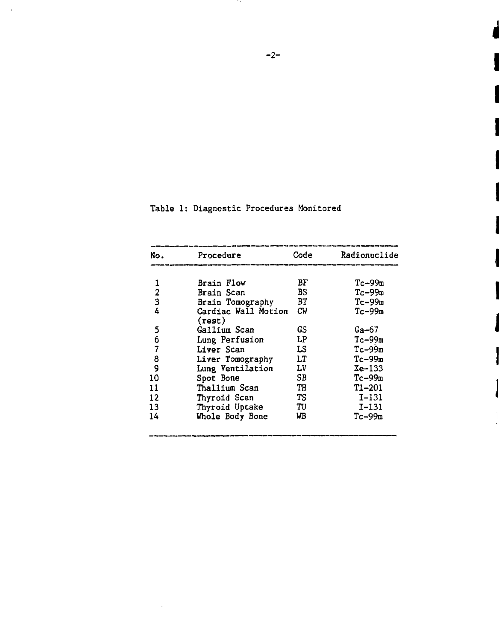| No. | Procedure                     | Code | Radionuclide |
|-----|-------------------------------|------|--------------|
|     | Brain Flow                    | BF   | $Tc-99m$     |
| 1   |                               |      |              |
| 2   | Brain Scan                    | BS   | $Tc-99m$     |
| 3   | Brain Tomography              | ВT   | $Tc-99m$     |
| 4   | Cardiac Wall Motion<br>(rest) | СW   | $Tc-99m$     |
| 5   | Gallium Scan                  | GS   | Ga-67        |
| 6   | Lung Perfusion                | LP   | $Tc-99m$     |
| 7   | Liver Scan                    | LS   | $Tc-99m$     |
| 8   | Liver Tomography              | LT   | $Tc-99m$     |
| 9   | Lung Ventilation              | Lν   | $Xe-133$     |
| 10  | Spot Bone                     | SВ   | $Tc - 99m$   |
| 11  | Thallium Scan                 | TH   | $T1 - 201$   |
| 12  | Thyroid Scan                  | TS.  | $I-131$      |
| 13  | Thyroid Uptake                | TU   | I-131        |
| 14  | Whole Body Bone               | WB   | $Tc-99m$     |
|     |                               |      |              |

|  |  | Table 1: Diagnostic Procedures Monitored |  |  |
|--|--|------------------------------------------|--|--|
|--|--|------------------------------------------|--|--|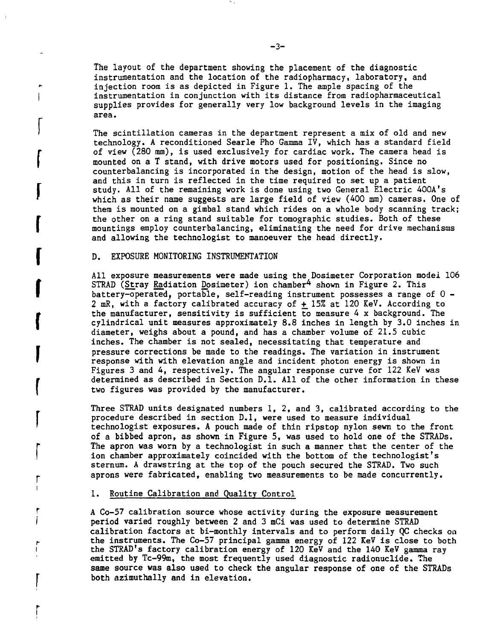The layout of the department showing the placement of the diagnostic instrumentation and the location of the radiopharmacy, laboratory, and injection room is as depicted in Figure 1. The ample spacing of the instrumentation in conjunction with its distance from radiopharmaceutical supplies provides for generally very low background levels in the imaging area.

The scintillation cameras in the department represent a mix of old and new technology. A reconditioned Searle Pho Gamma IV, which has a standard field of view (280 mm), is used exclusively for cardiac work. The camera head is mounted on a T stand, with drive motors used for positioning. Since no counterbalancing is incorporated in the design, motion of the head is slow, and this in turn is reflected in the time required to set up a patient study. All of the remaining work is done using two General Electric 400A's which as their name suggests are large field of view (400 mm) cameras. One of them is mounted on a gimbal stand which rides on a whole body scanning track; the other on a ring stand suitable for tomographic studies. Both of these mountings employ counterbalancing, eliminating the need for drive mechanisms and allowing the technologist to manoeuver the head directly.

## D. EXPOSURE MONITORING INSTRUMENTATION

**r**

 $\int$ 

 $\int$ 

**r**

**r**

l and the set

r

 $\overline{\mathbf{R}}$ 

All exposure measurements were made using the Dosimeter Corporation model 106 STRAD (Stray Radiation Dosimeter) ion chamber<sup>4</sup> shown in Figure 2. This battery-operated, portable, self-reading instrument possesses a range of 0 - 2 mR, with a factory calibrated accuracy of  $\pm$  15% at 120 KeV. According to the manufacturer, sensitivity is sufficient to measure 4 x background. The cylindrical unit measures approximately 8.8 inches in length by 3.0 inches in diameter, weighs about a pound, and has a chamber volume of 21.5 cubic inches. The chamber is not sealed, necessitating that temperature and <sup>I</sup> pressure corrections be made to the readings. The variation in instrument response with with elevation angle and incident photon energy is shown in Figures 3 and 4, respectively. The angular response curve for 122 KeV was determined as described in Section D.I. All of the other information in these two figures was provided by the manufacturer.

> Three STRAD units designated numbers 1, 2, and 3, calibrated according to the procedure described in section D.1, were used to measure individual technologist exposures. A pouch made of thin ripstop nylon sewn to the front of a bibbed apron, as shown in Figure 5, was used to hold one of the STRADs. The apron was worn by a technologist in such a manner that the center of the ion chamber approximately coincided with the bottom of the technologist's sternum. A drawstring at the top of the pouch secured the STRAD. Two such aprons were fabricated, enabling two measurements to be made concurrently.

### 1. Routine Calibration and Quality Control

A Co-57 calibration source whose activity during the exposure measurement period varied roughly between 2 and 3 mCi was used to determine STRAD calibration factors at bi-monthly intervals and to perform daily QC checks on <sup>r</sup> the instruments. The Co-57 principal gamma energy of 122 KeV is close to both the STRAD's factory calibration energy of 120 KeV and the 140 KeV gamma ray emitted by Tc-99m, the most frequently used diagnostic radionuclide. The same source was also used to check the angular response of one of the STRADs both azimuthally and in elevation.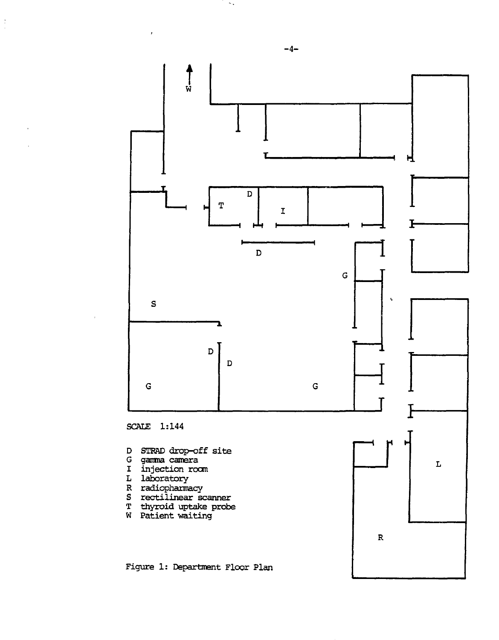

-4-

 $\sim$ 

 $\lambda$ 

 $\frac{1}{2}$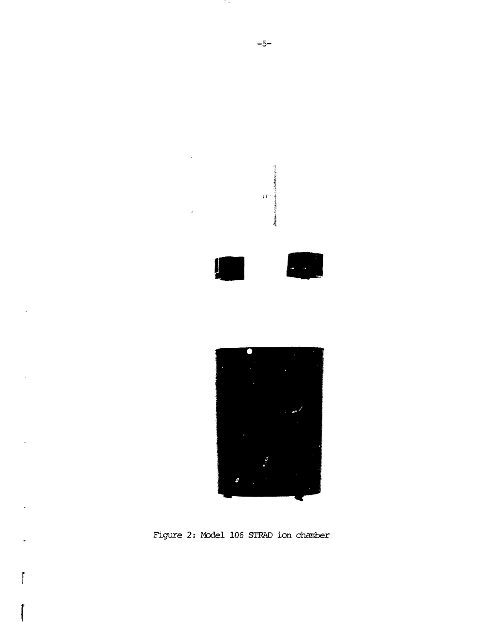

Figure 2: Model 106 STRAD ion chamber

ſ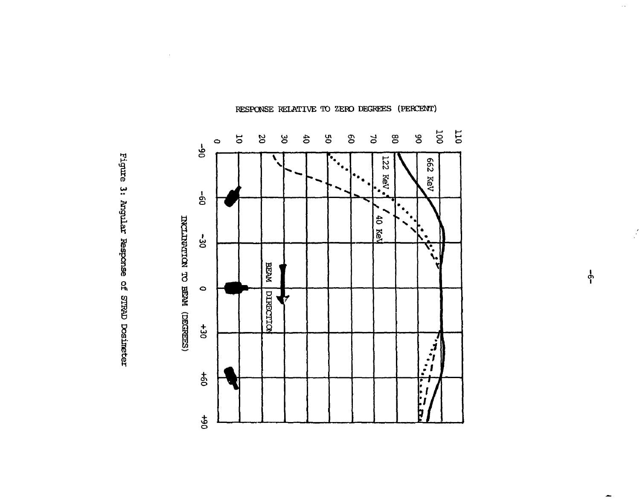

rigure 3: Angular Response of STRAD Dosineter

PESPONSE RELATIVE TO ZERO DEGREES (PERCENT)

•

**1**

 $\overline{\phantom{0}}$ 

 $\mathcal{L}$ 

 $\hat{\phi}$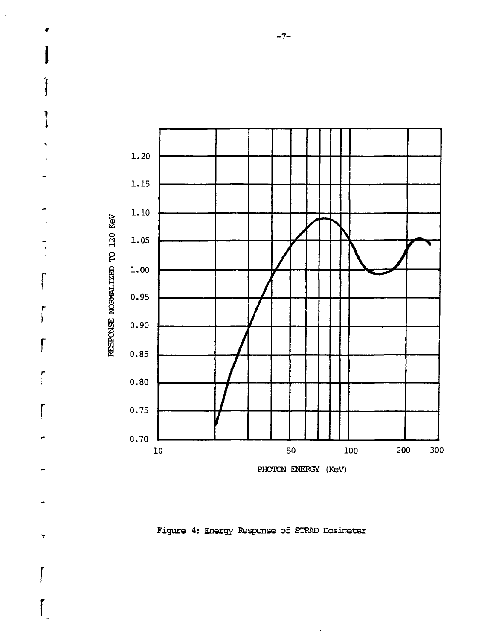

٦

Figure 4: Energy Response of STRAD Dosimeter

-7-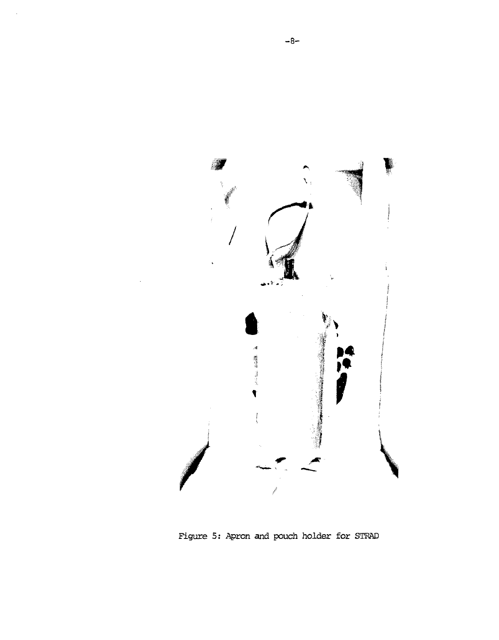

Figure 5: Apron and pouch holder for STRAD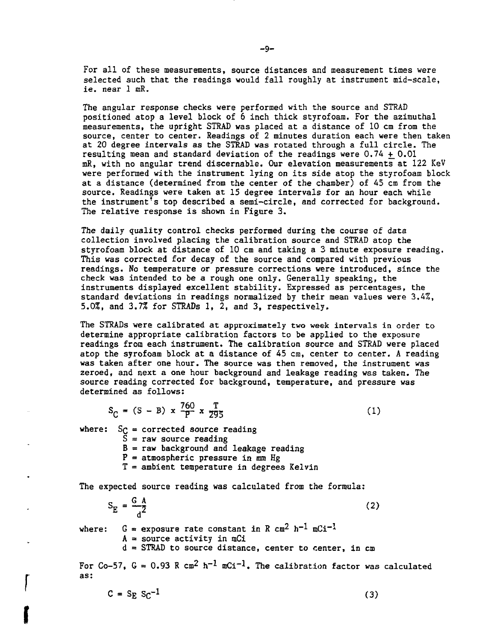For all of these measurements, source distances and measurement times were selected such that the readings would fall roughly at instrument mid-scale, ie. near 1 mR.

The angular response checks were performed with the source and STRAD positioned atop a level block of 6 inch thick styrofoam. For the azimuthal measurements, the upright STRAD was placed at a distance of 10 cm from the source, center to center. Readings of 2 minutes duration each were then taken at 20 degree intervals as the STRAD was rotated through a full circle. The resulting mean and standard deviation of the readings were  $0.74 \pm 0.01$ mR, with no angular trend discernable. Our elevation measurements at 122 KeV were performed with the instrument lying on its side atop the styrofoam block at a distance (determined from the center of the chamber) of 45 cm from the source. Readings were taken at 15 degree intervals for an hour each while the instrument's top described a semi-circle, and corrected for background. The relative response is shown in Figure 3.

The daily quality control checks performed during the course of data collection involved placing the calibration source and STRAD atop the styrofoam block at distance of 10 cm and taking a 3 minute exposure reading. This was corrected for decay of the source and compared with previous readings. No temperature or pressure corrections were introduced, since the check was intended to be a rough one only. Generally speaking, the instruments displayed excellent stability. Expressed as percentages, the standard deviations in readings normalized by their mean values were 3.4%, 5.0%, and 3.7% for STRADs 1, 2, and 3, respectively.

The STRADs were calibrated at approximately two week intervals in order to determine appropriate calibration factors to be applied to the exposure readings from each instrument. The calibration source and STRAD were placed atop the syrofoam block at a distance of 45 cm, center to center. A reading was taken after one hour. The source was then removed, the instrument was zeroed, and next a one hour background and leakage reading was taken. The source reading corrected for background, temperature, and pressure was determined as follows:

$$
S_C = (S - B) \times \frac{760}{P} \times \frac{T}{295}
$$
 (1)

where:  $S_C$  = corrected source reading

**I**

 $\bar{S}$  = raw source reading

 $B = raw$  background and leakage reading

- $P =$  atmospheric pressure in mm Hg
- T = ambient temperature in degrees Kelvin

The expected source reading was calculated from the formula:

 $S_{\rm E} = \frac{S_{\rm E}}{2}$  (2)  $\mathsf d$ 

where:  $G =$  exposure rate constant in R  $cm<sup>2</sup> h<sup>-1</sup> mCi<sup>-1</sup>$  $A = source activity in mCi$  $d = \text{STRAD}$  to source distance, center to center, in  $\text{cm}$ 

For Co-57,  $G = 0.93$  R cm<sup>2</sup> h<sup>-1</sup> mCi<sup>-1</sup>. The calibration factor was calculated as:

 $C = S_E S_C^{-1}$  (3)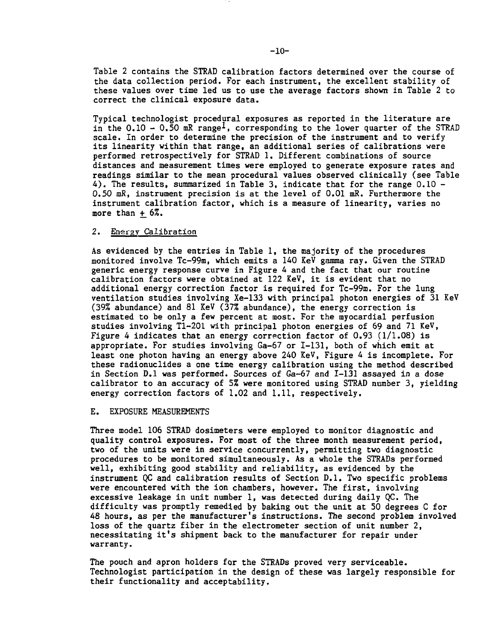Table 2 contains the STRAD calibration factors determined over the course of the data collection period. For each instrument, the excellent stability of these values over time led us to use the average factors shown in Table 2 to correct the clinical exposure data.

Typical technologist procedural exposures as reported in the literature are in the 0.10 - 0.50 mR range<sup>1</sup>, corresponding to the lower quarter of the STRAD scale. In order to determine the precision of the instrument and to verify its linearity within that range, an additional series of calibrations were performed retrospectively for STRAD 1. Different combinations of source distances and measurement times were employed to generate exposure rates and readings similar to the mean procedural values observed clinically (see Table 4 ). The results, summarized in Table 3, indicate that for the range 0.10 - 0.50 mR, instrument precision is at the level of 0.01 mR. Furthermore the instrument calibration factor, which is a measure of linearity, varies no more than  $+$  6%.

### 2. Energy Calibration

As evidenced by the entries in Table 1, the majority of the procedures monitored involve Tc-99m, which emits a 140 KeV gamma ray. Given the STRAD generic energy response curve in Figure 4 and the fact that our routine calibration factors were obtained at 122 KeV, it is evident that no additional energy correction factor is required for Tc-99m. For the lung ventilation studies involving Xe-133 with principal photon energies of 31 KeV (39% abundance) and 81 KeV (37% abundance), the energy correction is estimated to be only a few percent at most. For the myocardial perfusion studies involving Tl-201 with principal photon energies of 69 and 71 KeV, Figure 4 indicates that an energy correction factor of  $0.93$  ( $1/1.08$ ) is appropriate. For studies involving Ga-67 or 1-131, both of which emit at least one photon having an energy above 240 KeV, Figure 4 is incomplete. For these radionuclides a one time energy calibration using the method described in Section D.I was performed. Sources of Ga-67 and 1-131 assayed in a dose calibrator to an accuracy of 5% were monitored using STRAD number 3, yielding energy correction factors of 1.02 and 1.11, respectively.

#### E. EXPOSURE MEASUREMENTS

Three model 106 STRAD dosimeters were employed to monitor diagnostic and quality control exposures. For most of the three month measurement period, two of the units were in service concurrently, permitting two diagnostic procedures to be monitored simultaneously. As a whole the STRADs performed well, exhibiting good stability and reliability, as evidenced by the instrument QC and calibration results of Section D.I. Two specific problems were encountered with the ion chambers, however. The first, involving excessive leakage in unit number 1, was detected during daily QC. The difficulty was promptly remedied by baking out the unit at 50 degrees C for 48 hours, as per the manufacturer's instructions. The second problem involved loss of the quartz fiber in the electrometer section of unit number 2, necessitating it's shipment back to the manufacturer for repair under warranty.

The pouch and apron holders for the STRADs proved very serviceable. Technologist participation in the design of these was largely responsible for their functionality and acceptability.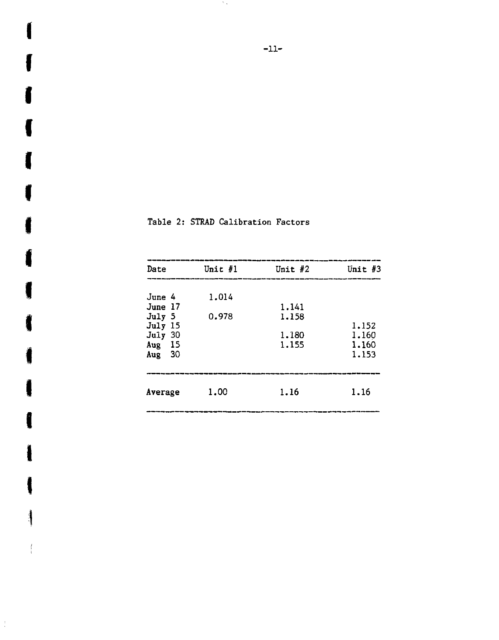| Date                                                                     | Unit $#1$      | Unit $#2$                        | Unit $#3$                        |
|--------------------------------------------------------------------------|----------------|----------------------------------|----------------------------------|
| June 4<br>June 17<br>July 5<br>July 15<br>July 30<br>Aug 15<br>30<br>Aug | 1.014<br>0.978 | 1.141<br>1.158<br>1,180<br>1.155 | 1.152<br>1.160<br>1,160<br>1.153 |
| Average                                                                  | 1.00           | 1.16                             | 1.16                             |

f Table 2: STRAD Calibration Factors

 $\overline{a}$ 

**I**

**I**

**I**

**I**

**I**

**I**

**1**

**I**

**I**

**I**

 $\frac{1}{2}$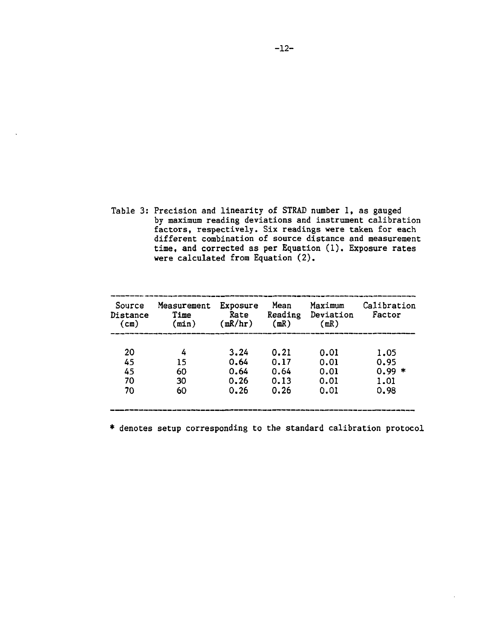Table 3: Precision and linearity of STRAD number 1, as gauged by maximum reading deviations and instrument calibration factors, respectively. Six readings were taken for each different combination of source distance and measurement time, and corrected as per Equation (1). Exposure rates were calculated from Equation (2).

| (mR/hr)<br>(min) | (mR) | (mR)                                 | Factor<br>Deviation |
|------------------|------|--------------------------------------|---------------------|
|                  |      |                                      |                     |
|                  | 0.21 | 0.01                                 | 1.05                |
| 15               | 0.17 | 0.01                                 | 0.95                |
| 60               | 0.64 | 0.01                                 | 0.99<br>∗           |
| 30               | 0.13 | 0.01                                 | 1.01                |
| 60               | 0.26 | 0.01                                 | 0.98                |
|                  |      | 3.24<br>0.64<br>0.64<br>0.26<br>0.26 |                     |

\* denotes setup corresponding to the standard calibration protocol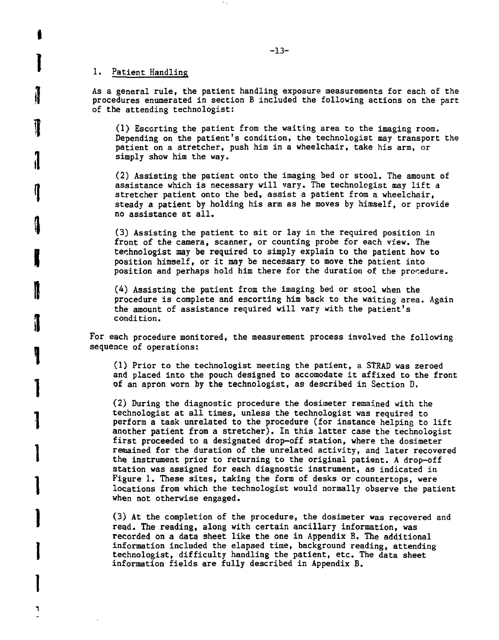## 1. Patient Handling

**I**

**1**

**i**

**il**

**,1**

**1**

**I**

**I**

**1**

**1**

**1**

**1**

**1**

٦

As a general rule, the patient handling exposure measurements for each of the procedures enumerated in section B included the following actions on the part of the attending technologist:

(1) Escorting the patient from the waiting area to the imaging room. Depending on the patient's condition, the technologist may transport the patient on a stretcher, push him in a wheelchair, take his arm, or simply show him the way.

(2) Assisting the patient onto the imaging bed or stool. The amount of assistance which is necessary will vary. The technologist may lift a stretcher patient onto the bed, assist a patient from a wheelchair, steady a patient by holding his arm as he moves by himself, or provide no assistance at all.

(3) Assisting the patient to sit or lay in the required position in front of the camera, scanner, or counting probe for each view. The technologist may be required to simply explain to the patient how to position himself, or it may be necessary to move the patient into position and perhaps hold him there for the duration of the procedure.

 $(4)$  Assisting the patient from the imaging bed or stool when the procedure is complete and escorting him back to the waiting area. Again the amount of assistance required will vary with the patient's condition.

For each procedure monitored, the measurement process involved the following sequence of operations:

(1) Prior to the technologist meeting the patient, a STRAD was zeroed and placed into the pouch designed to accomodate it affixed to the front of an apron worn by the technologist, as described in Section D.

(2) During the diagnostic procedure the dosimeter remained with the technologist at all times, unless the technologist was required to perform a task unrelated to the procedure (for instance helping to lift another patient from a stretcher). In this latter case the technologist first proceeded to a designated drop-off station, where the dosimeter remained for the duration of the unrelated activity, and later recovered the instrument prior to returning to the original patient. A drop-off station was assigned for each diagnostic instrument, as indicated in Figure 1. These sites, taking the form of desks or countertops, were locations from which the technologist would normally observe the patient when not otherwise engaged.

(3) At the completion of the procedure, the dosimeter was recovered and read. The reading, along with certain ancillary information, was recorded on a data sheet like the one in Appendix B. The additional information included the elapsed time, background reading, attending technologist, difficulty handling the patient, etc. The data sheet information fields are fully described in Appendix B.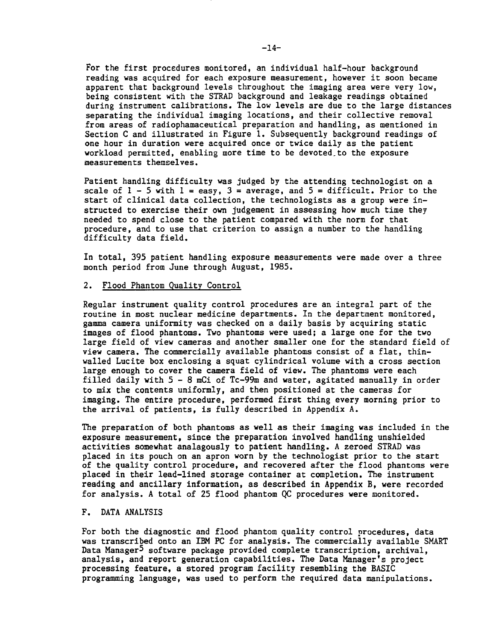For the first procedures monitored, an individual half-hour background reading was acquired for each exposure measurement, however it soon became apparent that background levels throughout the imaging area were very low, being consistent with the STRAD background and leakage readings obtained during instrument calibrations. The low levels are due to the large distances separating the individual imaging locations, and their collective removal from areas of radiophamaceutical preparation and handling, as mentioned in Section C and illustrated in Figure 1. Subsequently background readings of one hour in duration were acquired once or twice daily as the patient workload permitted, enabling more time to be devoted.to the exposure measurements themselves.

Patient handling difficulty was judged by the attending technologist on a scale of  $1 - 5$  with  $1 = \text{easy}$ ,  $3 = \text{average}$ , and  $5 = \text{difficult}$ . Prior to the start of clinical data collection, the technologists as a group were instructed to exercise their own judgement in assessing how much time they needed to spend close to the patient compared with the norm for that procedure, and to use that criterion to assign a number to the handling difficulty data field.

In total, 395 patient handling exposure measurements were made over a three month period from June through August, 1985.

## 2. Flood Phantom Quality Control

Regular instrument quality control procedures are an integral part of the routine in most nuclear medicine departments. In the department monitored, gamma camera uniformity was checked on a daily basis by acquiring static images of flood phantoms. Two phantoms were used; a large one for the two large field of view cameras and another smaller one for the standard field of view camera. The commercially available phantoms consist of a flat, thinwalled Lucite box enclosing a squat cylindrical volume with a cross section large enough to cover the camera field of view. The phantoms were each filled daily with  $5-8$  mCi of Tc-99m and water, agitated manually in order to mix the contents uniformly, and then positioned at the cameras for imaging. The entire procedure, performed first thing every morning prior to the arrival of patients, is fully described in Appendix A.

The preparation of both phantoms as well as their imaging was included in the exposure measurement, since the preparation involved handling unshielded activities somewhat analagously to patient handling. A zeroed STRAD was placed in its pouch on an apron worn by the technologist prior to the start of the quality control procedure, and recovered after the flood phantoms were placed in their lead-lined storage container at completion. The instrument reading and ancillary information, as described in Appendix B, were recorded for analysis. A total of 25 flood phantom QC procedures were monitored.

### F. DATA ANALYSIS

For both the diagnostic and flood phantom quality control procedures, data was transcribed onto an IBM PC for analysis. The commercially available SMART Data Manager<sup>5</sup> software package provided complete transcription, archival, analysis, and report generation capabilities. The Data Manager's project processing feature, a stored program facility resembling the BASIC programming language, was used to perform the required data manipulations.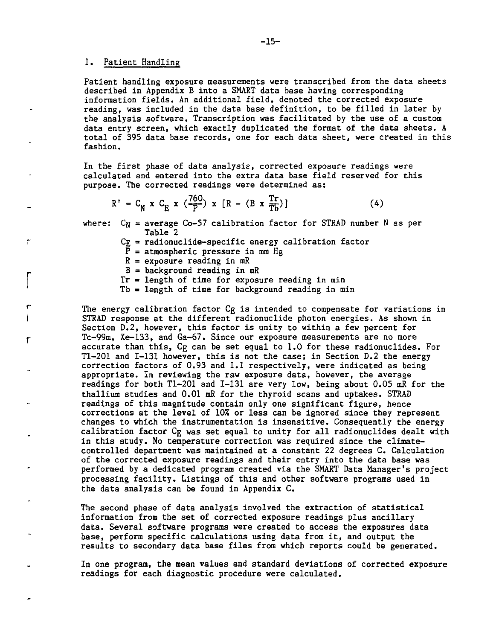### 1. Patient Handling

 $\mathbf{r}$ 

Patient handling exposure measurements were transcribed from the data sheets described in Appendix B into a SMART data base having corresponding information fields. An additional field, denoted the corrected exposure reading, was included in the data base definition, to be filled in later by the analysis software. Transcription was facilitated by the use of a custom data entry screen, which exactly duplicated the format of the data sheets. A total of 395 data base records, one for each data sheet, were created in this fashion.

In the first phase of data analysis, corrected exposure readings were calculated and entered into the extra data base field reserved for this purpose. The corrected readings were determined as:

$$
R' = C_N \times C_E \times (\frac{760}{P}) \times [R - (B \times \frac{Tr}{T_D})]
$$
 (4)

where:  $C_N$  = average  $C_0$ -57 calibration factor for STRAD number N as per Table 2

 $C_F$  = radionuclide-specific energy calibration factor

 $\overline{P}$  = atmospheric pressure in mm Hg

 $R =$  exposure reading in mR

- $B =$  background reading in mR
- $Tr = length$  of time for exposure reading in min
- Tb = length of time for background reading in min

The energy calibration factor C<sub>F</sub> is intended to compensate for variations in STRAD response at the different radionuclide photon energies. As shown in Section D.2, however, this factor is unity to within a few percent for Tc-99m, Xe-133, and Ga-67. Since our exposure measurements are no more accurate than this, Cg can be set equal to 1.0 for these radionuclides. For Tl-201 and 1-131 however, this is not the case; in Section D.2 the energy correction factors of 0.93 and 1.1 respectively, were indicated as being appropriate. In reviewing the raw exposure data, however, the average readings for both T1-201 and I-131 are very low, being about 0.05 mR for the thallium studies and 0.01 mR for the thyroid scans and uptakes. STRAD readings of this magnitude contain only one significant figure, hence corrections at the level of 10% or less can be ignored since they represent changes to which the instrumentation is insensitive. Consequently the energy calibration factor Cg was set equal to unity for all radionuclides dealt with in this study. No temperature correction was required since the climatecontrolled department was maintained at a constant 22 degrees C. Calculation of the corrected exposure readings and their entry into the data base was performed by a dedicated program created via the SMART Data Manager's project processing facility. Listings of this and other software programs used in the data analysis can be found in Appendix C.

The second phase of data analysis involved the extraction of statistical information from the set of corrected exposure readings plus ancillary data. Several software programs were created to access the exposures data base, perform specific calculations using data from it, and output the results to secondary data base files from which reports could be generated.

In one program, the mean values and standard deviations of corrected exposure readings for each diagnostic procedure were calculated.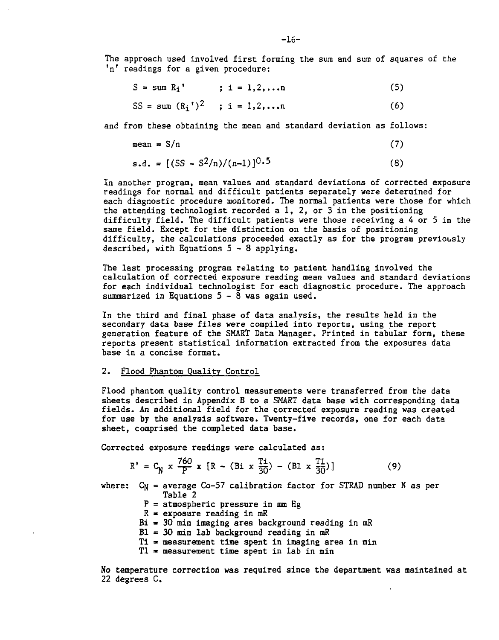The approach used involved first forming the sum and sum of squares of the 'n' readings for a given procedure:

| $S = sum R_i'$                           | $: 1 = 1, 2, \ldots$ n | (5) |
|------------------------------------------|------------------------|-----|
| SS = sum $(R_i^{\dagger})^2$ ; i = 1,2,n |                        | (6) |

and from these obtaining the mean and standard deviation as follows:

$$
mean = S/n
$$
 (7)

$$
s.d. = [(SS - S2/n)/(n-1)]0.5
$$
 (8)

In another program, mean values and standard deviations of corrected exposure readings for normal and difficult patients separately were determined for each diagnostic procedure monitored. The normal patients were those for which the attending technologist recorded a 1, 2, or 3 in the positioning difficulty field. The difficult patients were those receiving a 4 or 5 in the same field. Except for the distinction on the basis of positioning difficulty, the calculations proceeded exactly as for the program previously described, with Equations 5- 8 applying.

The last processing program relating to patient handling involved the calculation of corrected exposure reading mean values and standard deviations for each individual technologist for each diagnostic procedure. The approach summarized in Equations  $5-\overline{8}$  was again used.

In the third and final phase of data analysis, the results held in the secondary data base files were compiled into reports, using the report generation feature of the SMART Data Manager. Printed in tabular form, these reports present statistical information extracted from the exposures data base in a concise format.

#### 2. Flood Phantom Quality Control

Flood phantom quality control measurements were transferred from the data sheets described in Appendix B to a SMART data base with corresponding data fields. An additional field for the corrected exposure reading was created for use by the analysis software. Twenty-five records, one for each data sheet, comprised the completed data base.

Corrected exposure readings were calculated as:

$$
R' = C_N \times \frac{760}{P} \times [R - (Bi \times \frac{Ti}{30}) - (BI \times \frac{Ti}{30})]
$$
 (9)

where:  $C_N$  = average Co-57 calibration factor for STRAD number N as per Table 2

- $P =$  atmospheric pressure in mm Hg
- $R =$  exposure reading in mR
- $Bi = 30$  min imaging area background reading in mR
- $B1 = 30$  min lab background reading in mR
- Ti = measurement time spent in imaging area in min
- $T1$  = measurement time spent in lab in min

No temperature correction was required since the department was maintained at 22 degrees C.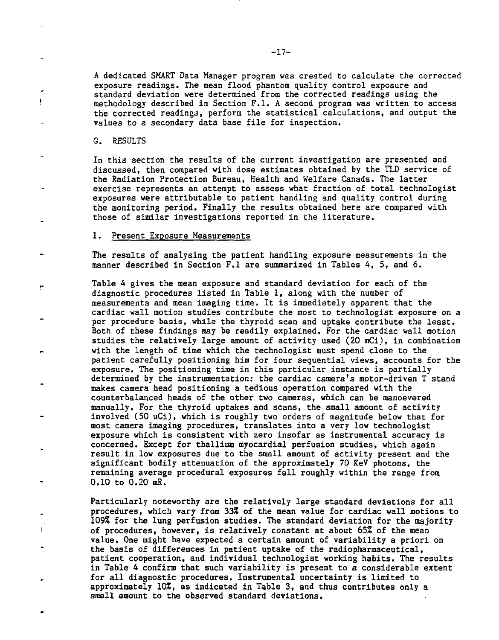A dedicated SMART Data Manager program was created to calculate the corrected exposure readings. The mean flood phantom quality control exposure and standard deviation were determined from the corrected readings using the methodology described in Section F.I. A second program was written to access the corrected readings, perform the statistical calculations, and output the values to a secondary data base file for inspection.

G. RESULTS

 $\mathbf{i}$ 

Ť

In this section the results of the current investigation are presented and discussed, then compared with dose estimates obtained by the TLD service of the Radiation Protection Bureau, Health and Welfare Canada. The latter exercise represents an attempt to assess what fraction of total technologist exposures were attributable to patient handling and quality control during the monitoring period. Finally the results obtained here are compared with those of similar investigations reported in the literature.

### 1. Present Exposure Measurements

The results of analysing the patient handling exposure measurements in the manner described in Section F.I are summarized in Tables 4, 5, and 6.

Table 4 gives the mean exposure and standard deviation for each of the diagnostic procedures listed in Table 1, along with the number of measurements and mean imaging time. It is immediately apparent that the cardiac wall motion studies contribute the most to technologist exposure on a per procedure basis, while the thyroid scan and uptake contribute the least. Both of these findings may be readily explained. For the cardiac wall motion studies the relatively large amount of activity used (20 mCi), in combination with the length of time which the technologist must spend close to the patient carefully positioning him for four sequential views, accounts for the exposure. The positioning time in this particular instance is partially determined by the instrumentation: the cardiac camera's motor-driven T stand makes camera head positioning a tedious operation compared with the counterbalanced heads of the other two cameras, which can be manoevered manually. For the thyroid uptakes and scans, the small amount of activity involved (50 uCi), which is roughly two orders of magnitude below that for most camera imaging procedures, translates into a very low technologist exposure which is consistent with zero insofar as instrumental accuracy is concerned. Except for thallium myocardial perfusion studies, which again result in low exposures due to the small amount of activity present and the significant bodily attenuation of the approximately 70 KeV photons, the remaining average procedural exposures fall roughly within the range from 0.10 to 0.20 mR.

Particularly noteworthy are the relatively large standard deviations for all procedures, which vary from 33% of the mean value for cardiac wall motions to 109% for the lung perfusion studies. The standard deviation for the majority of procedures, however, is relatively constant at about 65% of the mean value. One might have expected a certain amount of variability a priori on the basis of differences in patient uptake of the radiopharmaceutical, patient cooperation, and individual technologist working habits. The results in Table 4 confirm that such variability is present to a considerable extent for all diagnostic procedures. Instrumental uncertainty is limited to approximately 10%, as indicated in Table 3, and thus contributes only a small amount to the observed standard deviations.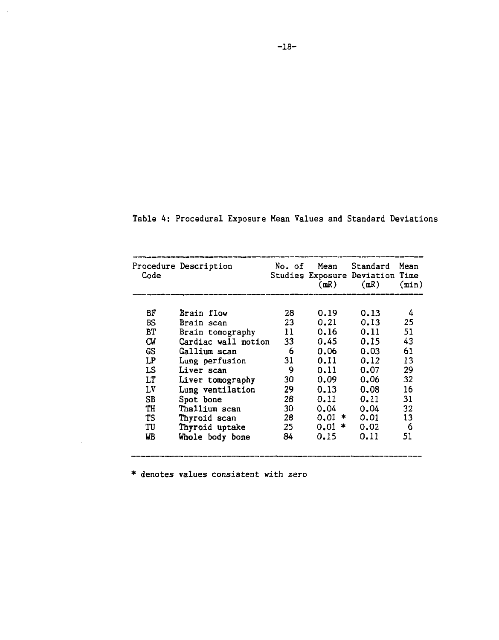| Code | Procedure Description |    | No. of Mean<br>(mR) | Standard<br>Studies Exposure Deviation Time<br>(mR) | Mean<br>(min) |
|------|-----------------------|----|---------------------|-----------------------------------------------------|---------------|
| BF   | Brain flow            | 28 | 0.19                | 0.13                                                | 4             |
| BS   | Brain scan            | 23 | 0.21                | 0.13                                                | 25            |
| BТ   | Brain tomography      | 11 | 0.16                | 0.11                                                | 51            |
| СW   | Cardiac wall motion   | 33 | 0.45                | 0.15                                                | 43            |
| GS   | Gallium scan          | 6. | 0.06                | 0.03                                                | 61            |
| LP   | Lung perfusion        | 31 | 0.11                | 0.12                                                | 13            |
| LS   | Liver scan            | 9  | 0.11                | 0.07                                                | 29            |
| LT   | Liver tomography      | 30 | 0.09                | 0.06                                                | 32            |
| LV   | Lung ventilation      | 29 | 0.13                | 0.08                                                | 16            |
| SB   | Spot bone             | 28 | 0.11                | 0.11                                                | 31            |
| TH   | Thallium scan         | 30 | 0.04                | 0.04                                                | 32            |
| TS   | Thyroid scan          | 28 | $0.01$ *            | 0.01                                                | 13            |
| TU   | Thyroid uptake        | 25 | $0.01*$             | 0.02                                                | 6             |
| WB   | Whole body bone       | 84 | 0.15                | 0.11                                                | 51            |
|      |                       |    |                     |                                                     |               |

\_\_\_\_\_\_\_

|  |  | Table 4: Procedural Exposure Mean Values and Standard Deviations |  |  |  |  |  |  |
|--|--|------------------------------------------------------------------|--|--|--|--|--|--|
|--|--|------------------------------------------------------------------|--|--|--|--|--|--|

\* denotes values consistent with zero

\_\_\_\_\_\_\_\_\_\_\_\_\_\_\_\_

 $\mathcal{L}_{\mathcal{A}}$ 

 $\ddot{\phantom{a}}$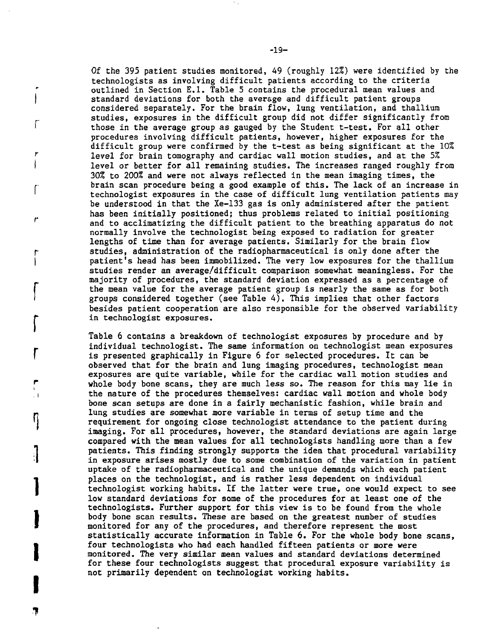Of the 395 patient studies monitored, 49 (roughly 12%) were identified by the technologists as involving difficult patients according to the criteria outlined in Section E.I. Table 5 contains the procedural mean values and standard deviations for both the average and difficult patient groups considered separately. For the brain flow, lung ventilation, and thallium studies, exposures in the difficult group did not differ significantly from those in the average group as gauged by the Student t-test. For all other procedures involving difficult patients, however, higher exposures for the difficult group were confirmed by the t-test as being significant at the 10% level for brain tomography and cardiac wall motion studies, and at the 5% level or better for all remaining studies. The increases ranged roughly from 30% to 200% and were not always reflected in the mean imaging times, the brain scan procedure being a good example of this. The lack of an increase in technologist exposures in the case of difficult lung ventilation patients may be understood in that the Xe-133 gas is only administered after the patient has been initially positioned; thus problems related to initial positioning and to acclimatizing the difficult patient to the breathing apparatus do not normally involve the technologist being exposed to radiation for greater lengths of time than for average patients. Similarly for the brain flow studies, administration of the radiopharmaceutical is only done after the patient's head has been immobilized. The very low exposures for the thallium studies render an average/difficult comparison somewhat meaningless. For the majority of procedures, the standard deviation expressed as a percentage of the mean value for the average patient group is nearly the same as for both groups considered together (see Table 4). This implies that other factors besides patient cooperation are also responsible for the observed variability in technologist exposures.

Table 6 contains a breakdown of technologist exposures by procedure and by individual technologist. The same information on technologist mean exposures is presented graphically in Figure 6 for selected procedures. It can be observed that for the brain and lung imaging procedures, technologist mean exposures are quite variable, while for the cardiac wall motion studies and whole body bone scans, they are much less so. The reason for this may lie in the nature of the procedures themselves: cardiac wall motion and whole body bone scan setups are done in a fairly mechanistic fashion, while brain and lung studies are somewhat more variable in terms of setup time and the requirement for ongoing close technologist attendance to the patient during imaging. For all procedures, however, the standard deviations are again large compared with the mean values for all technologists handling more than a few patients. This finding strongly supports the idea that procedural variability in exposure arises mostly due to some combination of the variation in patient uptake of the radiopharmaceutical and the unique demands which each patient places on the technologist, and is rather less dependent on individual technologist working habits. If the latter were true, one would expect to see low standard deviations for some of the procedures for at least one of the technologists. Further support for this view is to be found from the whole body bone scan results. These are based on the greatest number of studies monitored for any of the procedures, and therefore represent the most statistically accurate information in Table 6. For the whole body bone scans, four technologists who had each handled fifteen patients or more were monitored. The very similar mean values and standard deviations determined for these four technologists suggest that procedural exposure variability is not primarily dependent on technologist working habits.

1

 $\overline{\phantom{a}}$ 

 $\mathbf{J}$ 

I

**r**

T

**r**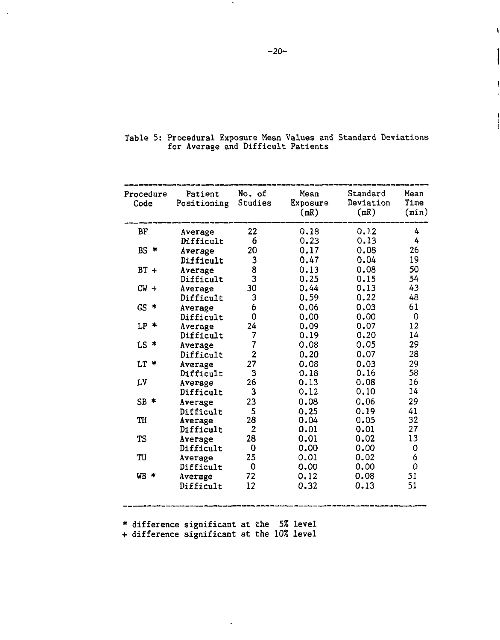| Procedure<br>Code | Patient<br>Positioning | No. of<br>Studies | Mean<br>Exposure<br>(mR) | Standard<br>Deviation<br>(mR) | Mean<br>Time<br>(min) |
|-------------------|------------------------|-------------------|--------------------------|-------------------------------|-----------------------|
| BF                | Average                | 22                | 0.18                     | 0.12                          | 4                     |
|                   | Difficult              | 6                 | 0.23                     | 0.13                          | 4                     |
| $BS =$            | Average                | 20                | 0.17                     | 0.08                          | 26                    |
|                   | Difficult              | 3                 | 0.47                     | 0.04                          | 19                    |
| $BT +$            | Average                | 8                 | 0.13                     | 0.08                          | 50                    |
|                   | Difficult              | 3                 | 0.25                     | 0.15                          | 54                    |
| $CW +$            | Average                | 30                | 0.44                     | 0.13                          | 43                    |
|                   | Difficult              | 3                 | 0.59                     | 0.22                          | 48                    |
| GS.<br>*          | Average                | 6                 | 0.06                     | 0.03                          | 61                    |
|                   | Difficult              | 0                 | 0.00                     | 0.00                          | 0                     |
| $LP$ *            | Average                | 24                | 0.09                     | 0.07                          | 12                    |
|                   | Difficult              | 7                 | 0.19                     | 0.20                          | 14                    |
| $LS$ *            | Average                | $\overline{7}$    | 0.08                     | 0.05                          | 29                    |
|                   | Difficult              | $\overline{2}$    | 0.20                     | 0.07                          | 28                    |
| $LT$ *            | Average                | 27                | 0.08                     | 0.03                          | 29                    |
|                   | Difficult              | 3                 | 0.18                     | 0.16                          | 58                    |
| LV                | Average                | 26                | 0.13                     | 0.08                          | 16                    |
|                   | Difficult              | 3                 | 0.12                     | 0.10                          | 14                    |
| $SB$ *            | Average                | 23                | 0.08                     | 0.06                          | 29                    |
|                   | Difficult              | 5                 | 0.25                     | 0.19                          | 41                    |
| TH                | Average                | 28                | 0.04                     | 0.05                          | 32                    |
|                   | Difficult              | $\mathbf{2}$      | 0.01                     | 0.01                          | 27                    |
| TS                | Average                | 28                | 0.01                     | 0.02                          | 13                    |
|                   | Difficult              | 0                 | 0.00                     | 0.00                          | 0                     |
| TU                | Average                | 25                | 0.01                     | 0.02                          | 6                     |
|                   | Difficult              | 0                 | 0.00                     | 0.00                          | 0                     |
| $WB *$            | Average                | 72                | 0.12                     | 0.08                          | 51                    |
|                   | Difficult              | 12                | 0.32                     | 0.13                          | 51                    |

|  |                                    |  |  | Table 5: Procedural Exposure Mean Values and Standard Deviations |
|--|------------------------------------|--|--|------------------------------------------------------------------|
|  | for Average and Difficult Patients |  |  |                                                                  |

\* difference significant at the 5% level

+ difference significant at the 10% level

 $\ddot{ }$ 

 $\sim$ 

ï

 $\mathbf{1}$ 

j

 $\sim$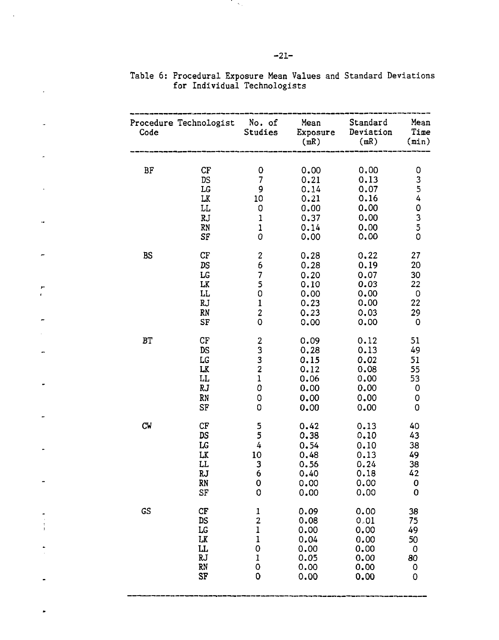| Code           | Procedure Technologist                                       | No. of<br>Studies                                                          | Mean<br>Exposure<br>(mR)                                     | Standard<br>Deviation<br>(mR)                                | Mean<br>Time<br>(min)                              |
|----------------|--------------------------------------------------------------|----------------------------------------------------------------------------|--------------------------------------------------------------|--------------------------------------------------------------|----------------------------------------------------|
| BF             | CF<br><b>DS</b><br>LG<br>LK<br>LL<br>RJ<br>RN<br>SF          | 0<br>$\overline{\mathcal{L}}$<br>9<br>10<br>0<br>1<br>1<br>0               | 0.00<br>0.21<br>0.14<br>0.21<br>0.00<br>0.37<br>0.14<br>0.00 | 0.00<br>0.13<br>0.07<br>0.16<br>0.00<br>0.00<br>0.00<br>0.00 | 0<br>3<br>$\frac{5}{4}$<br>O<br>$\frac{3}{5}$<br>ō |
| <b>BS</b>      | CF                                                           | $\boldsymbol{2}$                                                           | 0.28                                                         | 0.22                                                         | 27                                                 |
|                | DS                                                           | 6                                                                          | 0.28                                                         | 0.19                                                         | 20                                                 |
|                | LG                                                           | 7                                                                          | 0.20                                                         | 0.07                                                         | 30                                                 |
|                | LK                                                           | 5                                                                          | 0.10                                                         | 0.03                                                         | 22                                                 |
|                | LL                                                           | 0                                                                          | 0.00                                                         | 0.00                                                         | $\mathbf 0$                                        |
|                | RJ                                                           | $\mathbf{1}$                                                               | 0.23                                                         | 0.00                                                         | 22                                                 |
|                | RN                                                           | $\overline{\mathbf{c}}$                                                    | 0.23                                                         | 0.03                                                         | 29                                                 |
|                | SF                                                           | 0                                                                          | 0.00                                                         | 0.00                                                         | 0                                                  |
| B <sub>T</sub> | ${\rm CF}$<br>DS<br>${\tt LG}$<br>LK<br>LL<br>RJ<br>RN<br>SF | $\frac{2}{3}$<br>$\begin{array}{c} 3 \\ 2 \\ 1 \end{array}$<br>0<br>0<br>O | 0.09<br>0.28<br>0.15<br>0.12<br>0.06<br>0.00<br>0.00<br>0.00 | 0.12<br>0.13<br>0.02<br>0.08<br>0.00<br>0.00<br>0.00<br>0.00 | 51<br>49<br>51<br>55<br>53<br>0<br>0<br>0          |
| CW             | CF                                                           | 5                                                                          | 0.42                                                         | 0.13                                                         | 40                                                 |
|                | DS                                                           | 5                                                                          | 0.38                                                         | 0.10                                                         | 43                                                 |
|                | $_{\rm LG}$                                                  | 4                                                                          | 0.54                                                         | 0.10                                                         | 38                                                 |
|                | LK                                                           | 10                                                                         | 0.48                                                         | 0.13                                                         | 49                                                 |
|                | LL                                                           | 3                                                                          | 0.56                                                         | 0.24                                                         | 38                                                 |
|                | RJ                                                           | 6                                                                          | 0.40                                                         | 0.18                                                         | 42                                                 |
|                | RN                                                           | 0                                                                          | 0.00                                                         | 0.00                                                         | 0                                                  |
|                | SF                                                           | $\circ$                                                                    | 0.00                                                         | 0.00                                                         | 0                                                  |
| GS             | CF                                                           | $\mathbf{1}$                                                               | 0.09                                                         | 0.00                                                         | 38                                                 |
|                | DS                                                           | $\overline{2}$                                                             | 0.08                                                         | 0.01                                                         | 75                                                 |
|                | LG                                                           | 1                                                                          | 0.00                                                         | 0.00                                                         | 49                                                 |
|                | LK                                                           | $\mathbf{1}$                                                               | 0.04                                                         | 0.00                                                         | 50                                                 |
|                | LL.                                                          | 0                                                                          | 0.00                                                         | 0.00                                                         | 0                                                  |
|                | RJ                                                           | 1                                                                          | 0.05                                                         | 0.00                                                         | 80                                                 |
|                | RN                                                           | 0                                                                          | 0.00                                                         | 0.00                                                         | 0                                                  |
|                | SF                                                           | 0                                                                          | 0.00                                                         | 0.00                                                         | 0                                                  |

|  | Table 6: Procedural Exposure Mean Values and Standard Deviations |  |  |  |
|--|------------------------------------------------------------------|--|--|--|
|  | for Individual Technologists                                     |  |  |  |

Tirk,

÷

r.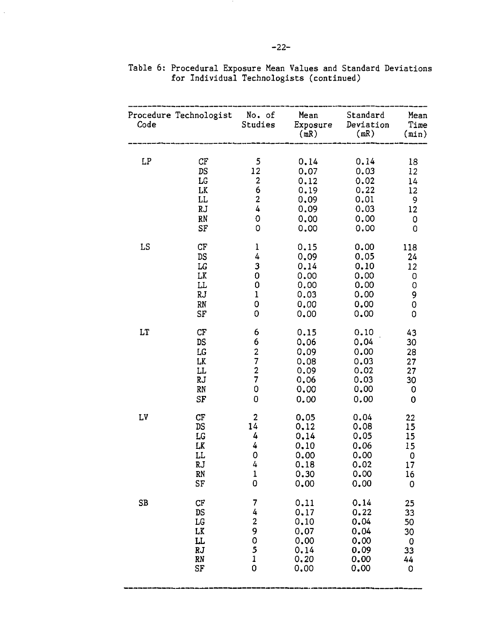| Code | Procedure Technologist                                | No. of<br>Studies                                                     | Mean<br>Exposure<br>(mR)                                     | Standard<br>Deviation<br>(mR)                                | Mean<br>Time<br>$(\min)$                   |
|------|-------------------------------------------------------|-----------------------------------------------------------------------|--------------------------------------------------------------|--------------------------------------------------------------|--------------------------------------------|
| LP   | $C_{\rm F}$                                           | 5                                                                     | 0.14                                                         | 0.14                                                         | 18                                         |
|      | DS                                                    | 12                                                                    | 0.07                                                         | 0.03                                                         | 12                                         |
|      | $_{\rm LG}$                                           | $\overline{\mathbf{c}}$                                               | 0.12                                                         | 0.02                                                         | 14                                         |
|      | LK                                                    | 6                                                                     | 0.19                                                         | 0.22                                                         | 12                                         |
|      | LL                                                    | 2                                                                     | 0.09                                                         | 0.01                                                         | 9                                          |
|      | <b>RJ</b>                                             | 4                                                                     | 0.09                                                         | 0.03                                                         | 12                                         |
|      | RN                                                    | 0                                                                     | 0.00                                                         | 0.00                                                         | 0                                          |
|      | SF                                                    | 0                                                                     | 0.00                                                         | 0.00                                                         | 0                                          |
| LS   | CF                                                    | $\mathbf 1$                                                           | 0.15                                                         | 0.00                                                         | 118                                        |
|      | $\mathtt{DS}$                                         | 4                                                                     | 0.09                                                         | 0.05                                                         | 24                                         |
|      | LG                                                    | 3                                                                     | 0.14                                                         | 0.10                                                         | 12                                         |
|      | LK                                                    | 0                                                                     | 0.00                                                         | 0.00                                                         | 0                                          |
|      | LL.                                                   | 0                                                                     | 0.00                                                         | 0.00                                                         | 0                                          |
|      | RJ                                                    | 1                                                                     | 0.03                                                         | 0.00                                                         | 9                                          |
|      | RN                                                    | 0                                                                     | 0,00                                                         | 0.00                                                         | 0                                          |
|      | SF                                                    | 0                                                                     | 0.00                                                         | 0.00                                                         | 0                                          |
| LT   | СF<br><b>DS</b><br>LG<br>LK<br>LL<br>RJ<br>RN<br>SF   | 6<br>6<br>$\frac{2}{7}$<br>$\frac{2}{7}$<br>0<br>0                    | 0.15<br>0.06<br>0.09<br>0,08<br>0.09<br>0.06<br>0.00<br>0.00 | 0.10<br>0.04<br>0.00<br>0.03<br>0.02<br>0.03<br>0.00<br>0.00 | 43<br>30<br>28<br>27<br>27<br>30<br>0<br>0 |
| LV   | CF                                                    | $\overline{\mathbf{c}}$                                               | 0.05                                                         | 0.04                                                         | 22                                         |
|      | DS                                                    | $1\bar{4}$                                                            | 0.12                                                         | 0.08                                                         | 15                                         |
|      | LG                                                    | 4                                                                     | 0.14                                                         | 0.05                                                         | 15                                         |
|      | LK                                                    | 4                                                                     | 0.10                                                         | 0.06                                                         | 15                                         |
|      | LL                                                    | $\mathbf 0$                                                           | 0.00                                                         | 0.00                                                         | 0                                          |
|      | RJ                                                    | 4                                                                     | 0.18                                                         | 0.02                                                         | 17                                         |
|      | RN                                                    | $\mathbf{1}$                                                          | 0.30                                                         | 0.00                                                         | 16                                         |
|      | $S_{\Gamma}$                                          | 0                                                                     | 0.00                                                         | 0.00                                                         | 0                                          |
| SB   | CF<br>DS<br>$_{\rm LG}$<br>LK<br>LL<br>RJ<br>RN<br>SF | 7<br>4<br>$\overline{\mathbf{c}}$<br>9<br>0<br>5<br>$\mathbf{1}$<br>0 | 0.11<br>0.17<br>0,10<br>0.07<br>0.00<br>0.14<br>0.20<br>0.00 | 0.14<br>0.22<br>0.04<br>0.04<br>0.00<br>0.09<br>0.00<br>0.00 | 25<br>33<br>50<br>30<br>0<br>33<br>44<br>0 |

|  |  |  |                                          |  | Table 6: Procedural Exposure Mean Values and Standard Deviations |
|--|--|--|------------------------------------------|--|------------------------------------------------------------------|
|  |  |  | for Individual Technologists (continued) |  |                                                                  |

 $\hat{\mathcal{A}}$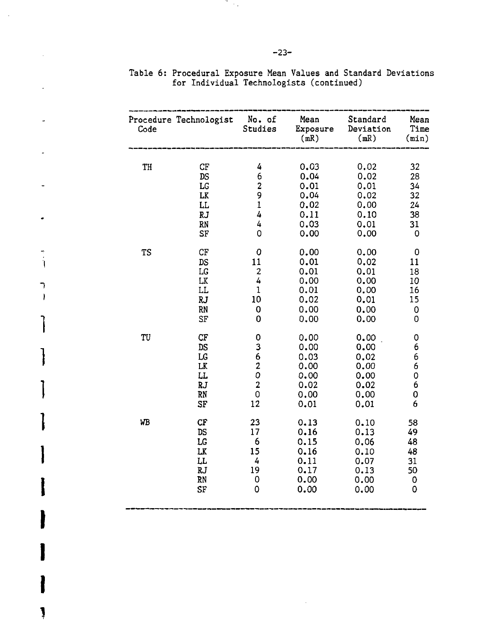| Code | Procedure Technologist                       | No. of<br>Studies                                                                          | Mean<br>Exposure<br>(mR)                                     | Standard<br>Deviation<br>(mR)                                | Mean<br>Time<br>$(\min)$             |
|------|----------------------------------------------|--------------------------------------------------------------------------------------------|--------------------------------------------------------------|--------------------------------------------------------------|--------------------------------------|
| TH   | СF                                           | 4                                                                                          | 0.03                                                         | 0.02                                                         | 32                                   |
|      | DS                                           | 6                                                                                          | 0.04                                                         | 0.02                                                         | 28                                   |
|      | LG                                           | 2                                                                                          | 0.01                                                         | 0.01                                                         | 34                                   |
|      | LK                                           | 9                                                                                          | 0.04                                                         | 0.02                                                         | 32                                   |
|      | LL                                           | $\mathbf{1}$                                                                               | 0.02                                                         | 0.00                                                         | 24                                   |
|      | <b>RJ</b>                                    | 4                                                                                          | 0.11                                                         | 0.10                                                         | 38                                   |
|      | RN                                           | 4                                                                                          | 0.03                                                         | 0.01                                                         | 31                                   |
|      | SF                                           | 0                                                                                          | 0.00                                                         | 0.00                                                         | 0                                    |
| TS   | CF                                           | 0                                                                                          | 0.00                                                         | 0.00                                                         | 0                                    |
|      | DS                                           | 11                                                                                         | 0.01                                                         | 0.02                                                         | 11                                   |
|      | LG                                           | $\boldsymbol{2}$                                                                           | 0.01                                                         | 0.01                                                         | 18                                   |
|      | LK                                           | 4                                                                                          | 0.00                                                         | 0.00                                                         | 10                                   |
|      | LL                                           | 1                                                                                          | 0.01                                                         | 0.00                                                         | 16                                   |
|      | RJ                                           | 10                                                                                         | 0.02                                                         | 0.01                                                         | 15                                   |
|      | RN                                           | 0                                                                                          | 0.00                                                         | 0.00                                                         | 0                                    |
|      | SF                                           | 0                                                                                          | 0.00                                                         | 0.00                                                         | 0                                    |
| TU   | CF<br>DS<br>LG<br>LK<br>LL<br>RJ<br>RN<br>SF | 0<br>3<br>$\begin{array}{c} 6 \\ 2 \\ 0 \end{array}$<br>$\overline{\mathbf{2}}$<br>0<br>12 | 0.00<br>0.00<br>0.03<br>0.00<br>0.00<br>0.02<br>0.00<br>0.01 | 0.00<br>0.00<br>0,02<br>0.00<br>0.00<br>0.02<br>0.00<br>0.01 | 0<br>6<br>6<br>6<br>0<br>6<br>0<br>6 |
| WB   | $C_{\rm F}$                                  | 23                                                                                         | 0.13                                                         | 0.10                                                         | 58                                   |
|      | DS                                           | 17                                                                                         | 0.16                                                         | 0.13                                                         | 49                                   |
|      | LG                                           | 6                                                                                          | 0.15                                                         | 0.06                                                         | 48                                   |
|      | LK                                           | 15                                                                                         | 0.16                                                         | 0.10                                                         | 48                                   |
|      | LL                                           | 4                                                                                          | 0.11                                                         | 0.07                                                         | 31                                   |
|      | RJ.                                          | 19                                                                                         | 0.17                                                         | 0.13                                                         | 50                                   |
|      | RN                                           | 0                                                                                          | 0.00                                                         | 0.00                                                         | 0                                    |
|      | SF                                           | 0                                                                                          | 0.00                                                         | 0.00                                                         | 0                                    |

**1**

**1**

**1**

**1**

**1**

**I**

**I**

**I**

**I**

**1**

Table 6: Procedural Exposure Mean Values and Standard Deviations for Individual Technologists (continued)

in 19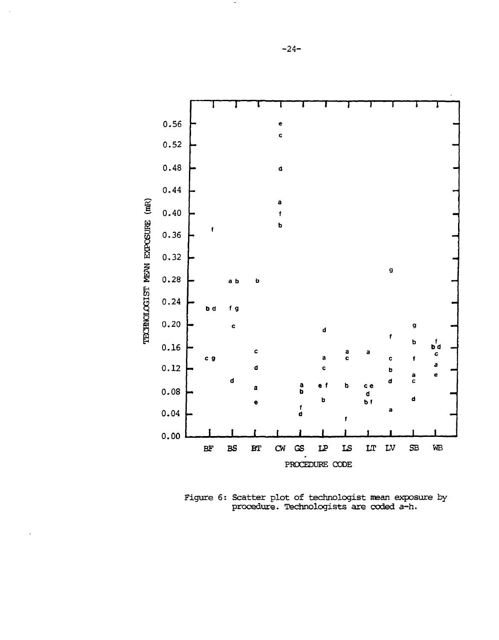

Figure 6: Scatter plot of technologist mean exposure by procedure. Technologists are coded a-h.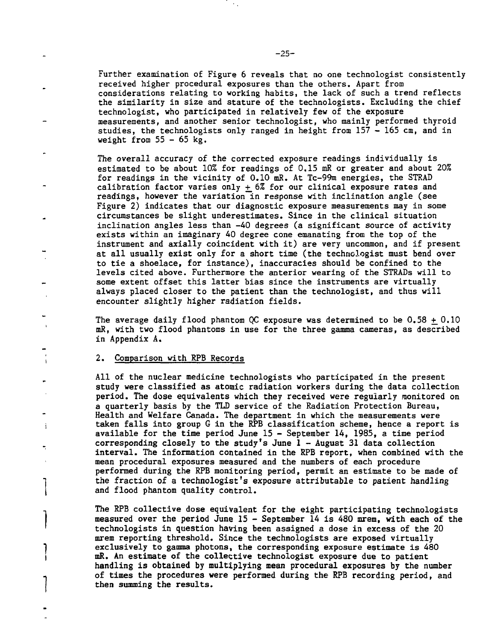Further examination of Figure 6 reveals that no one technologist consistently received higher procedural exposures than the others. Apart from considerations relating to working habits, the lack of such a trend reflects the similarity in size and stature of the technologists. Excluding the chief technologist, who participated in relatively few of the exposure measurements, and another senior technologist, who mainly performed thyroid studies, the technologists only ranged in height from 157 - 165 cm, and in weight from  $55 - 65$  kg.

The overall accuracy of the corrected exposure readings individually is estimated to be about 10% for readings of 0.15 mR or greater and about 20% for readings in the vicinity of 0.10 mR. At Tc-99m energies, the STRAD calibration factor varies only  $+$  6% for our clinical exposure rates and readings, however the variation in response with inclination angle (see Figure 2) indicates that our diagnostic exposure measurements may in some circumstances be slight underestimates. Since in the clinical situation inclination angles less than -40 degrees (a significant source of activity exists within an imaginary 40 degree cone emanating from the top of the instrument and axially coincident with it) are very uncommon, and if present at all usually exist only for a short time (the technologist must bend over to tie a shoelace, for instance), inaccuracies should be confined to the levels cited above. Furthermore the anterior wearing of the STRADs will to some extent offset this latter bias since the instruments are virtually always placed closer to the patient than the technologist, and thus will encounter slightly higher radiation fields.

The average daily flood phantom OC exposure was determined to be  $0.58 + 0.10$ mR, with two flood phantoms in use for the three gamma cameras, as described in Appendix A.

#### \ 2. Comparison with RPB Records

All of the nuclear medicine technologists who participated in the present study were classified as atomic radiation workers during the data collection period. The dose equivalents which they received were regularly monitored on a quarterly basis by the TLD service of the Radiation Protection Bureau, Health and Welfare Canada. The department in which the measurements were i taken falls into group G in the RPB classification scheme, hence a report is available for the time period June 15 - September 14, 1985, a time period corresponding closely to the study's June  $1 -$  August 31 data collection interval. The information contained in the RPB report, when combined with the mean procedural exposures measured and the numbers of each procedure performed during the RPB monitoring period, permit an estimate to be made of the fraction of a technologist's exposure attributable to patient handling and flood phantom quality control.

> . The RPB collective dose equivalent for the eight participating technologists measured over the period June  $15$  - September 14 is 480 mrem, with each of the technologists in question having been assigned a dose in excess of the 20 mrem reporting threshold. Since the technologists are exposed virtually 1 exclusively to gamma photons, the corresponding exposure estimate is 480 mR. An estimate of the collective technologist exposure due to patient handling is obtained by multiplying mean procedural exposures by the number » of times the procedures were performed during the RPB recording period, and then summing the results.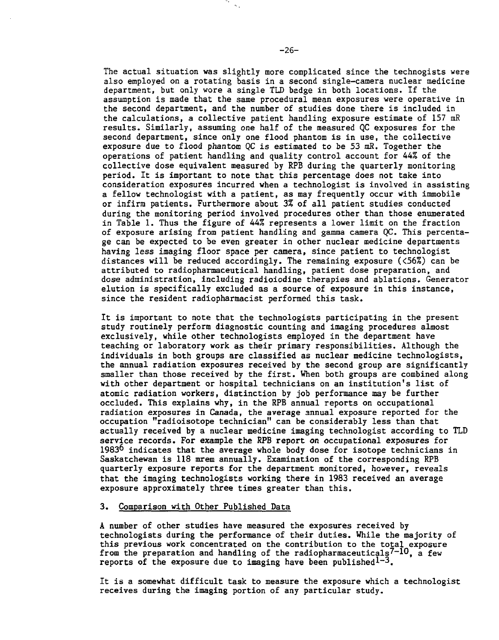The actual situation was slightly more complicated since the technogists were also employed on a rotating basis in a second single-camera nuclear medicine department, but only wore a single TLD badge in both locations. If the assumption is made that the same procedural mean exposures were operative in the second department, and the number of studies done there is included in the calculations, a collective patient handling exposure estimate of 157 mR results. Similarly, assuming one half of the measured QC exposures for the second department, since only one flood phantom is in use, the collective exposure due to flood phantom QC is estimated to be 53 mR. Together the operations of patient handling and quality control account for 44% of the collective dose equivalent measured by RPB during the quarterly monitoring period. It is important to note that this percentage does not take into consideration exposures incurred when a technologist is involved in assisting a fellow technologist with a patient, as may frequently occur with immobile or infirm patients. Furthermore about 3% of all patient studies conducted during the monitoring period involved procedures other than those enumerated in Table 1. Thus the figure of 44% represents a lower limit on the fraction of exposure arising from patient handling and gamma camera QC. This percentage can be expected to be even greater in other nuclear medicine departments having less imaging floor space per camera, since patient to technologist distances will be reduced accordingly. The remaining exposure (<56%) can be attributed to radiopharmaceutical handling, patient dose preparation, and dose administration, including radioiodine therapies and ablations. Generator elution is specifically excluded as a source of exposure in this instance, since the resident radiopharmacist performed this task.

It is important to note that the technologists participating in the present study routinely perform diagnostic counting and imaging procedures almost exclusively, while other technologists employed in the department have teaching or laboratory work as their primary responsibilities. Although the individuals in both groups are classified as nuclear medicine technologists, the annual radiation exposures received by the second group are significantly smaller than those received by the first. When both groups are combined along with other department or hospital technicians on an institution's list of atomic radiation workers, distinction by job performance may be further occluded. This explains why, in the RPB annual reports on occupational radiation exposures in Canada, the average annual exposure reported for the occupation "radioisotope technician" can be considerably less than that actually received by a nuclear medicine imaging technologist according to TLD service records. For example the RPB report on occupational exposures for 1983 $<sup>6</sup>$  indicates that the average whole body dose for isotope technicians in</sup> Saskatchewan is 118 mrem annually. Examination of the corresponding RPB quarterly exposure reports for the department monitored, however, reveals that the imaging technologists working there in 1983 received an average exposure approximately three times greater than this.

## 3. Comparison with Other Published Data

A number of other studies have measured the exposures received by technologists during the performance of their duties. While the majority of this previous work concentrated on the contribution to the total exposure from the preparation and handling of the radiopharmaceuticals<sup>7-10</sup>, a few reports of the exposure due to imaging have been published $1-3$ .

It is a somewhat difficult task to measure the exposure which a technologist receives during the imaging portion of any particular study.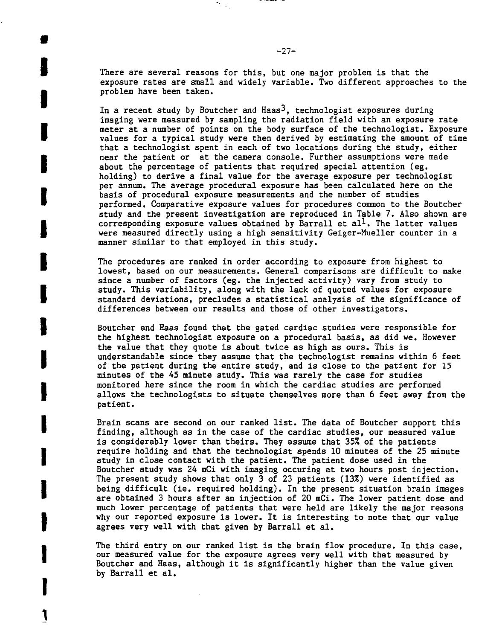There are several reasons for this, but one major problem is that the exposure rates are small and widely variable. Two different approaches to the problem have been taken.

**I**

**I**

I

I

I

I

I

I

I

**1**

 $\begin{array}{c} \bullet \\ \bullet \end{array}$ 

•

In a recent study by Boutcher and Haas<sup>3</sup>, technologist exposures during imaging were measured by sampling the radiation field with an exposure rate meter at a number of points on the body surface of the technologist. Exposure • values for a typical study were then derived by estimating the amount of time that a technologist spent in each of two locations during the study, either near the patient or at the camera console. Further assumptions were made about the percentage of patients that required special attention (eg. holding) to derive a final value for the average exposure per technologist per annum. The average procedural exposure has been calculated here on the basis of procedural exposure measurements and the number of studies performed. Comparative exposure values for procedures common to the Boutcher study and the present investigation are reproduced in Table 7. Also shown are corresponding exposure values obtained by Barrall et al<sup>1</sup>. The latter values were measured directly using a high sensitivity Geiger-Mueller counter in a manner similar to that employed in this study.

The procedures are ranked in order according to exposure from highest to lowest, based on our measurements. General comparisons are difficult to make since a number of factors (eg. the injected activity) vary from study to study. This variability, along with the lack of quoted values for exposure standard deviations, precludes a statistical analysis of the significance of differences between our results and those of other investigators.

Boutcher and Haas found that the gated cardiac studies were responsible for the highest technologist exposure on a procedural basis, as did we. However the value that they quote is about twice as high as ours. This is understandable since they assume that the technologist remains within 6 feet of the patient during the entire study, and is close to the patient for 15 minutes of the 45 minute study. This was rarely the case for studies monitored here since the room in which the cardiac studies are performed allows the technologists to situate themselves more than 6 feet away from the patient.

I Brain scans are second on our ranked list. The data of Boutcher support this finding, although as in the case of the cardiac studies, our measured value is considerably lower than theirs. They assume that 35% of the patients require holding and that the technologist spends 10 minutes of the 25 minute study in close contact with the patient. The patient dose used in the Boutcher study was 24 mCi with imaging occuring at two hours post injection. The present study shows that only 3 of 23 patients (13%) were identified as being difficult (ie. required holding). In the present situation brain images are obtained 3 hours after an injection of 20 mCi. The lower patient dose and much lower percentage of patients that were held are likely the major reasons why our reported exposure is lower. It is interesting to note that our value agrees very well with that given by Barrall et al.

> The third entry on our ranked list is the brain flow procedure. In this case, our measured value for the exposure agrees very well with that measured by Boutcher and Haas, although it is significantly higher than the value given<br>by Barrall et al.  $B_3$  balthough it is significantly higher than the value given  $\mathcal{L}_1$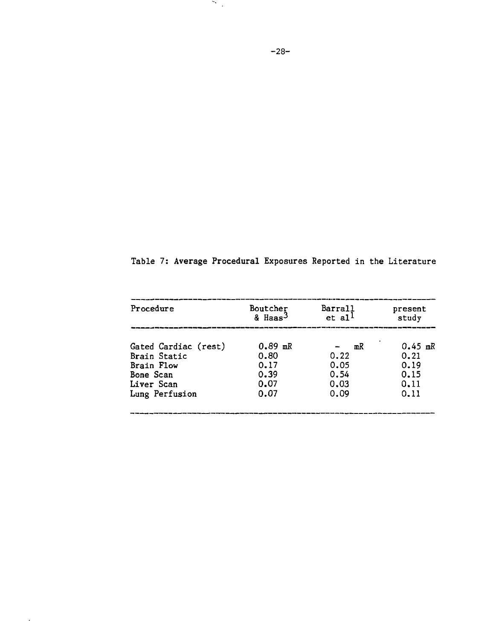|  | Table 7: Average Procedural Exposures Reported in the Literature |  |  |  |
|--|------------------------------------------------------------------|--|--|--|
|  |                                                                  |  |  |  |

| Procedure            | Boutcher<br>& Haas <sup>3</sup> | Barrall<br>$et$ al <sup>1</sup> | present<br>study |
|----------------------|---------------------------------|---------------------------------|------------------|
| Gated Cardiac (rest) | $0.89$ mR                       | mR                              | $0.45$ mR        |
| Brain Static         | 0.80                            | 0.22                            | 0.21             |
| Brain Flow           | 0.17                            | 0.05                            | 0.19             |
| Bone Scan            | 0.39                            | 0.54                            | 0.15             |
| Liver Scan           | 0.07                            | 0.03                            | 0.11             |
| Lung Perfusion       | 0.07                            | 0.09                            | 0.11             |
|                      |                                 |                                 |                  |

 $\mathcal{L}(\mathcal{A})$  and  $\mathcal{L}(\mathcal{A})$ 

 $\mathcal{L}(\mathcal{L})$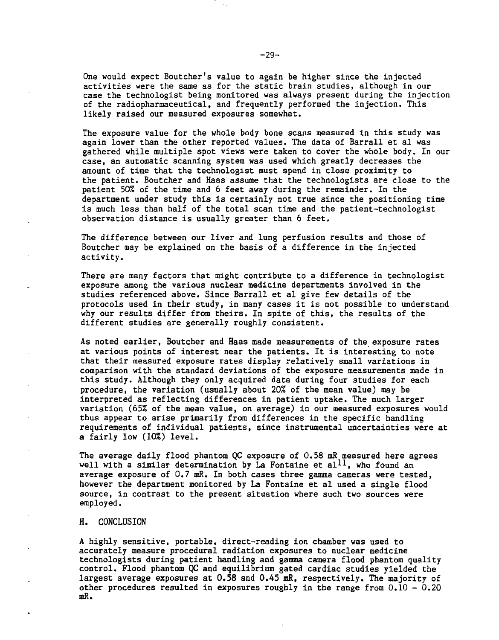One would expect Boutcher's value to again be higher since the injected activities were the same as for the static brain studies, although in our case the technologist being monitored was always present during the injection of the radiopharmaceutical, and frequently performed the injection. This likely raised our measured exposures somewhat.

The exposure value for the whole body bone scans measured in this study was again lower than the other reported values. The data of Barrall et al was gathered while multiple spot views were taken to cover the whole body. In our case, an automatic scanning system was used which greatly decreases the amount of time that the technologist must spend in close proximity to the patient. Boutcher and Haas assume that the technologists are close to the patient 50% of the time and 6 feet away during the remainder. In the department under study this is certainly not true since the positioning time is much less than half of the total scan time and the patient-technologist observation distance is usually greater than 6 feet.

The difference between our liver and lung perfusion results and those of Boutcher may be explained on the basis of a difference in the injected activity.

There are many factors that might contribute to a difference in technologist exposure among the various nuclear medicine departments involved in the studies referenced above. Since Barrall et al give few details of the protocols used in their study, in many cases it is not possible to understand why our results differ from theirs. In spite of this, the results of the different studies are generally roughly consistent.

As noted earlier, Boutcher and Haas made measurements of the exposure rates at various points of interest near the patients. It is interesting to note that their measured exposure rates display relatively small variations in comparison with the standard deviations of the exposure measurements made in this study. Although they only acquired data during four studies for each procedure, the variation (usually about 20% of the mean value) may be interpreted as reflecting differences in patient uptake. The much larger variation (65% of the mean value, on average) in our measured exposures would thus appear to arise primarily from differences in the specific handling requirements of individual patients, since instrumental uncertainties were at a fairly low (10%) level.

The average daily flood phantom QC exposure of 0.58 mR measured here agrees well with a similar determination by La Fontaine et al<sup>11</sup>, who found an average exposure of 0.7 mR. In both cases three gamma cameras were tested, however the department monitored by La Fontaine et al used a single flood source, in contrast to the present situation where such two sources were employed.

#### H. CONCLUSION

A highly sensitive, portable, direct-reading ion chamber was used to accurately measure procedural radiation exposures to nuclear medicine technologists during patient handling and gamma camera flood phantom quality control. Flood phantom QC and equilibrium gated cardiac studies yielded the largest average exposures at 0.58 and 0.45 mR, respectively. The majority of other procedures resulted in exposures roughly in the range from  $0.10 - 0.20$ mR.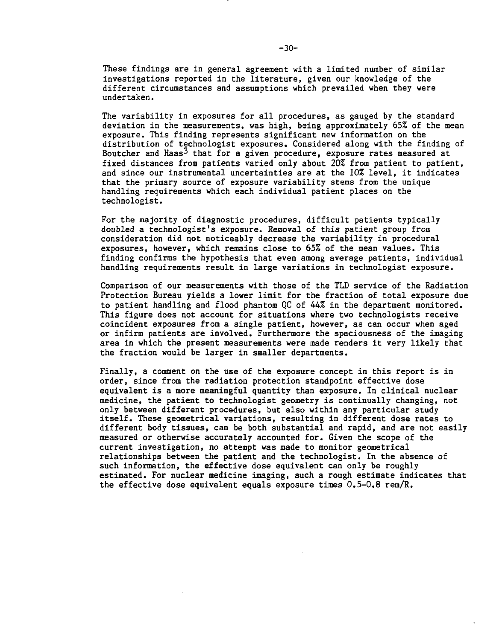These findings are in general agreement with a limited number of similar investigations reported in the literature, given our knowledge of the different circumstances and assumptions which prevailed when they were undertaken.

The variability in exposures for all procedures, as gauged by the standard deviation in the measurements, was high, being approximately 65% of the mean exposure. This finding represents significant new information on the distribution of technologist exposures. Considered along with the finding of Boutcher and Haas<sup>3</sup> that for a given procedure, exposure rates measured at fixed distances from patients varied only about 20% from patient to patient, and since our instrumental uncertainties are at the 10% level, it indicates that the primary source of exposure variability stems from the unique handling requirements which each individual patient places on the technologist.

For the majority of diagnostic procedures, difficult patients typically doubled a technologist's exposure. Removal of this patient group from consideration did not noticeably decrease the variability in procedural exposures, however, which remains close to 65% of the mean values. This finding confirms the hypothesis that even among average patients, individual handling requirements result in large variations in technologist exposure.

Comparison of our measurements with those of the TLD service of the Radiation Protection Bureau yields a lower limit for the fraction of total exposure due to patient handling and flood phantom QC of 44% in the department monitored. This figure does not account for situations where two technologists receive coincident exposures from a single patient, however, as can occur when aged or infirm patients are involved. Furthermore the spaciousness of the imaging area in which the present measurements were made renders it very likely that the fraction would be larger in smaller departments.

Finally, a comment on the use of the exposure concept in this report is in order, since from the radiation protection standpoint effective dose equivalent is a more meaningful quantity than exposure. In clinical nuclear medicine, the patient to technologist geometry is continually changing, not only between different procedures, but also within any particular study itself. These geometrical variations, resulting in different dose rates to different body tissues, can be both substantial and rapid, and are not easily measured or otherwise accurately accounted for. Given the scope of the current investigation, no attempt was made to monitor geometrical relationships between the patient and the technologist. In the absence of such information, the effective dose equivalent can only be roughly estimated. For nuclear medicine imaging, such a rough estimate indicates that the effective dose equivalent equals exposure times 0.5-0.8 rem/R.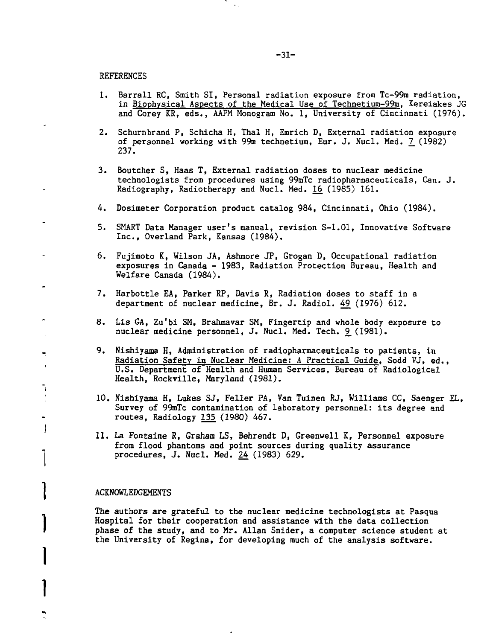۰.  $\sim$  .

REFERENCES

- 1. Barrall RC, Smith SI, Personal radiation exposure from Tc-99m radiation, in Biophysical Aspects of the Medical Use of Technetium-99m, Kereiakes JG and Corey KR, eds., AAPM Monogram No. 1, University of Cincinnati (1976).
- 2. Schurnbrand P, Schicha H, Thal H, Emrich D, External radiation exposure of personnel working with 99m technetium, Eur. J. Nucl. Med. 7\_ (1982) 237.
- 3. Boutcher S, Haas T, External radiation doses to nuclear medicine technologists from procedures using 99mTc radiopharmaceuticals, Can. J. Radiography, Radiotherapy and Nucl. Med. 16 (1985) 161.
- 4. Dosimeter Corporation product catalog 984, Cincinnati, Ohio (1984).
- 5. SMART Data Manager user's manual, revision S-1.01, Innovative Software Inc., Overland Park, Kansas (1984).
- 6. Fujimoto K, Wilson JA, Ashmore JP, Grogan D, Occupational radiation exposures in Canada - 1983, Radiation Protection Bureau, Health and Welfare Canada (1984).
- 7. Harbottle EA, Parker RP, Davis R, Radiation doses to staff in a department of nuclear medicine, Br. J. Radiol. 49 (1976) 612.
- 8. Lis GA, Zu'bi SM, Brahmavar SM, Fingertip and whole body exposure to nuclear medicine personnel, J. Nucl. Med. Tech. 9\_ (1981).
- 9. Nishiyama H, Administration of radiopharmaceuticals to patients, in Radiation Safety in Nuclear Medicine; A Practical Guide, Sodd VJ, ed., U.S. Department of Health and Human Services, Bureau of Radiological Health, Rockville, Maryland (1981).
- 10. Nishiyama H, Lukes SJ, Feller PA, Van Tuinen RJ, Williams CC, Saenger EL, Survey of 99mTc contamination of laboratory personnel: its degree and routes, Radiology 135 (1980) 467.
- 11. La Fontaine R, Graham LS, Behrendt D, Greenwell K, Personnel exposure from flood phantoms and point sources during quality assurance procedures, J. Nucl. Med. 24 (1983) 629.

#### ACKNOWLEDGEMENTS

The authors are grateful to the nuclear medicine technologists at Pasqua Hospital for their cooperation and assistance with the data collection phase of the study, and to Mr. Allan Snider, a computer science student at the University of Regina, for developing much of the analysis software.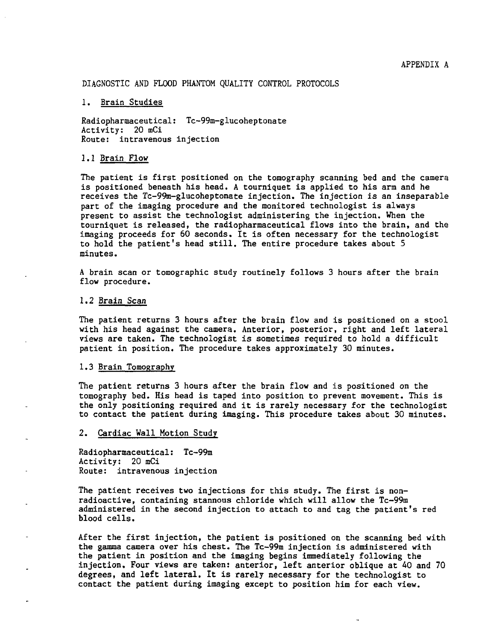### DIAGNOSTIC AND FLOOD PHANTOM QUALITY CONTROL PROTOCOLS

#### 1. Brain Studies

Radiopharmaceutical: Tc-99m-glucoheptonate Activity: 20 mCi Route: intravenous injection

### 1.1 Brain Flow

The patient is first positioned on the tomography scanning bed and the camera is positioned beneath his head. A tourniquet is applied to his arm and he receives the Tc-99m-glucoheptonate injection. The injection is an inseparable part of the imaging procedure and the monitored technologist is always present to assist the technologist administering the injection. When the tourniquet is released, the radiopharmaceutical flows into the brain, and the imaging proceeds for 60 seconds. It is often necessary for the technologist to hold the patient's head still. The entire procedure takes about 5 minutes.

A brain scan or tomographic study routinely follows 3 hours after the brain flow procedure.

#### 1.2 Brain Scan

The patient returns 3 hours after the brain flow and is positioned on a stool with his head against the camera. Anterior, posterior, right and left lateral views are taken. The technologist is sometimes required to hold a difficult patient in position. The procedure takes approximately 30 minutes.

# 1.3 Brain Tomography

The patient returns 3 hours after the brain flow and is positioned on the tomography bed. His head is taped into position to prevent movement. This is the only positioning required and it is rarely necessary for the technologist to contact the patient during imaging. This procedure takes about 30 minutes.

# 2. Cardiac Wall Motion Study

Radiopharmaceutical: Tc-99m Activity: 20 mCi Route: intravenous injection

The patient receives two injections for this study. The first is nonradioactive, containing stannous chloride which will allow the Tc-99m administered in the second injection to attach to and tag the patient's red blood cells.

After the first injection, the patient is positioned on the scanning bed with the gamma camera over his chest. The Tc-99m injection is administered with the patient in position and the imaging begins immediately following the injection. Four views are taken: anterior, left anterior oblique at 40 and 70 degrees, and left lateral. It is rarely necessary for the technologist to contact the patient during imaging except to position him for each view.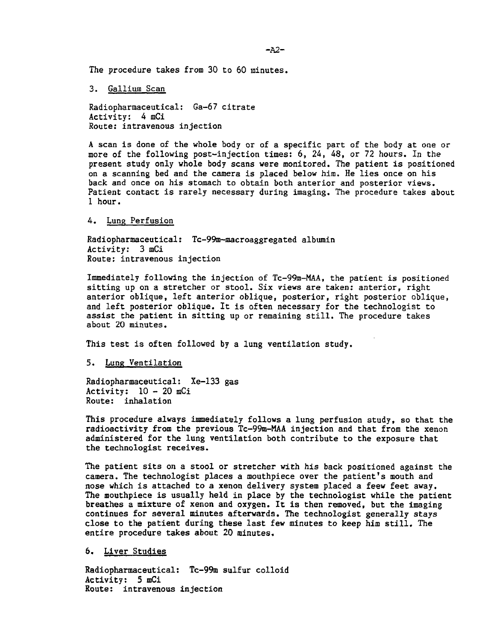The procedure takes from 30 to 60 minutes.

3. Gallium Scan

Radiopharmaceutical: Ga-67 citrate Activity: 4 mCi Route: intravenous injection

A scan is done of the whole body or of a specific part of the body at one or more of the following post-injection times: 6, 24, 48, or 72 hours. In the present study only whole body scans were monitored. The patient is positioned on a scanning bed and the camera is placed below him. He lies once on his back and once on his stomach to obtain both anterior and posterior views. Patient contact is rarely necessary during imaging. The procedure takes about 1 hour.

### 4. Lung Perfusion

Radiopharmaceutical: Tc-99m-macroaggregated albumin Activity: 3 mCi Route: intravenous injection

Immediately following the injection of Tc-99m-MAA, the patient is positioned sitting up on a stretcher or stool. Six views are taken: anterior, right anterior oblique, left anterior oblique, posterior, right posterior oblique, and left posterior oblique. It is often necessary for the technologist to assist the patient in sitting up or remaining still. The procedure takes about 20 minutes.

This test is often followed by a lung ventilation study.

## 5. Lung Ventilation

Radiopharmaceutical: Xe-133 gas  $\text{Activity: } 10 - 20 \text{ mCi}$ Route: inhalation

This procedure always immediately follows a lung perfusion study, so that the radioactivity from the previous Tc-99m-MAA injection and that from the xenon administered for the lung ventilation both contribute to the exposure that the technologist receives.

The patient sits on a stool or stretcher with his back positioned against the camera. The technologist places a mouthpiece over the patient's mouth and nose which is attached to a xenon delivery system placed a feew feet away. The mouthpiece is usually held in place by the technologist while the patient breathes a mixture of xenon and oxygen. It is then removed, but the imaging continues for several minutes afterwards. The technologist generally stays close to the patient during these last few minutes to keep him still. The entire procedure takes about 20 minutes.

6. Liver Studies

Radiopharmaceutical: Tc-99m sulfur colloid Activity: 5 mCi Route: intravenous injection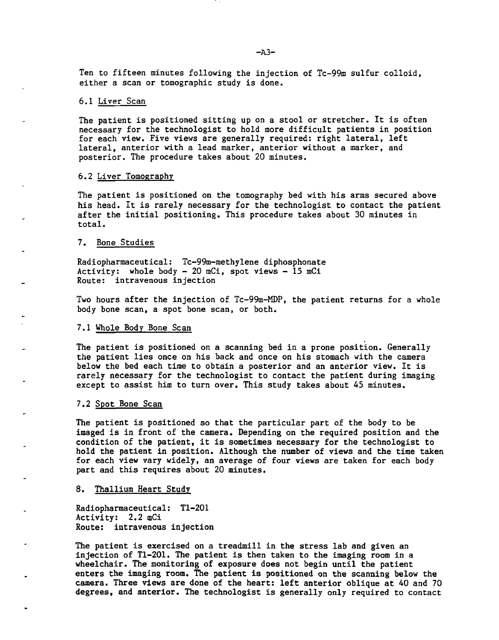Ten to fifteen minutes following the injection of Tc-99m sulfur colloid, either a scan or tomographic study is done.

### 6.1 Liver Scan

The patient is positioned sitting up on a stool or stretcher. It is often necessary for the technologist to hold more difficult patients in position for each view. Five views are generally required: right lateral, left lateral, anterior with a lead marker, anterior without a marker, and posterior. The procedure takes about 20 minutes.

## 6.2 Liver Tomography

The patient is positioned on the tomography bed with his arms secured above his head. It is rarely necessary for the technologist to contact the patient after the initial positioning. This procedure takes about 30 minutes in total.

# 7. Bone Studies

Radiopharmaceutical: Tc-99m-methylene diphosphonate Activity: whole body  $-20$  mCi, spot views  $-15$  mCi Route: intravenous injection

Two hours after the injection of Tc-99m-MDP, the patient returns for a whole body bone scan, a spot bone scan, or both.

### 7.1 Whole Body Bone Scan

The patient is positioned on a scanning bed in a prone position. Generally the patient lies once on his back and once on his stomach with the camera below the bed each time to obtain a posterior and an anterior view. It is rarely necessary for the technologist to contact the patient during imaging except to assist him to turn over. This study takes about 45 minutes.

## 7.2 Spot Bone Scan

The patient is positioned so that the particular part of the body to be imaged is in front of the camera. Depending on the required position and the condition of the patient, it is sometimes necessary for the technologist to hold the patient in position. Although the number of views and the time taken for each view vary widely, an average of four views are taken for each body part and this requires about 20 minutes.

### 8. Thallium Heart Study

Radiopharmaceutical: Tl-201 Activity: 2.2 mCi Route: intravenous injection

The patient is exercised on a treadmill in the stress lab and given an injection of Tl-201. The patient is then taken to the imaging room in a wheelchair. The monitoring of exposure does not begin until the patient enters the imaging room. The patient is positioned on the scanning below the camera. Three views are done of the heart: left anterior oblique at 40 and 70 degrees, and anterior. The technologist is generally only required to contact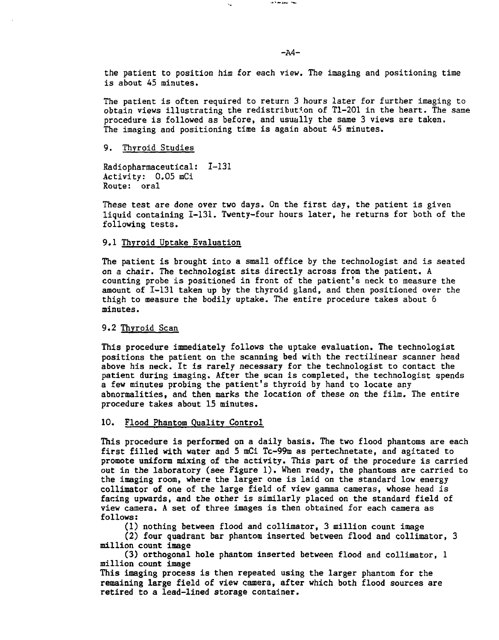the patient to position him for each view. The imaging and positioning time is about 45 minutes.

**SAN AREA** TWO

The patient is often required to return 3 hours later for further imaging to obtain views illustrating the redistribution of Tl-201 in the heart. The same procedure is followed as before, and usually the same 3 views are taken. The imaging and positioning time is again about 45 minutes.

9. Thyroid Studies

Radiopharmaceutical: 1-131 Activity: 0.05 mCi Route: oral

These test are done over two days. On the first day, the patient is given liquid containing 1-131. Twenty-four hours later, he returns for both of the following tests.

# 9.1 Thyroid Uptake Evaluation

The patient is brought into a small office by the technologist and is seated on a chair. The technologist sits directly across from the patient. A counting probe is positioned in front of the patient's neck to measure the amount of 1-131 taken up by the thyroid gland, and then positioned over the thigh to measure the bodily uptake. The entire procedure takes about 6 minutes.

# 9.2 Thyroid Scan

This procedure immediately follows the uptake evaluation. The technologist positions the patient on the scanning bed with the rectilinear scanner head above his neck. It is rarely necessary for the technologist to contact the patient during imaging. After the scan is completed, the technologist spends a few minutes probing the patient's thyroid by hand to locate any abnormalities, and then marks the location of these on the film. The entire procedure takes about 15 minutes.

### 10. Flood Phantom Quality Control

This procedure is performed on a daily basis. The two flood phantoms are each first filled with water and 5 mCi Tc-99m as pertechnetate, and agitated to promote uniform mixing of the activity. This part of the procedure is carried out in the laboratory (see Figure 1). When ready, the phantoms are carried to the imaging room, where the larger one is laid on the standard low energy collimator of one of the large field of view gamma cameras, whose head is facing upwards, and the other is similarly placed on the standard field of view camera. A set of three images is then obtained for each camera as follows :

(1) nothing between flood and collimator, 3 million count image

(2) four quadrant bar phantom inserted between flood and collimator, 3 million count image

(3) orthogonal hole phantom inserted between flood and collimator, 1 million count image

This imaging process is then repeated using the larger phantom for the remaining large field of view camera, after which both flood sources are retired to a lead-lined storage container.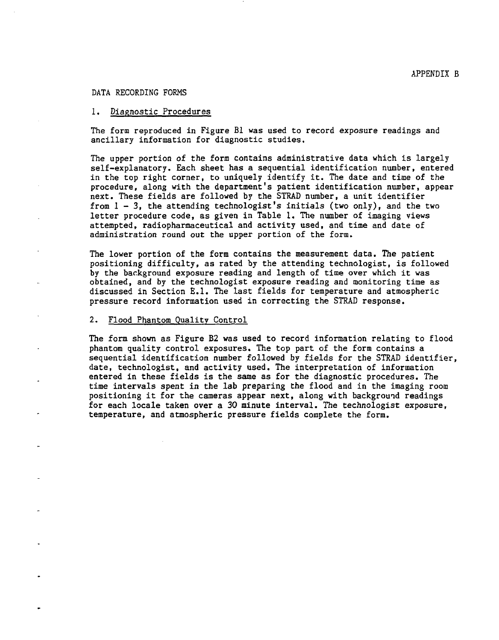#### DATA RECORDING FORMS

## 1. Diagnostic Procedures

The form reproduced in Figure Bl was used to record exposure readings and ancillary information for diagnostic studies.

The upper portion of the form contains administrative data which is largely self-explanatory. Each sheet has a sequential identification number, entered in the top right corner, to uniquely identify it. The date and time of the procedure, along with the department's patient identification number, appear next. These fields are followed by the STRAD number, a unit identifier from  $l-3$ , the attending technologist's initials (two only), and the two letter procedure code, as given in Table 1. The number of imaging views attempted, radiopharmaceutical and activity used, and time and date of administration round out the upper portion of the form.

The lower portion of the form contains the measurement data. The patient positioning difficulty, as rated by the attending technologist, is followed by the background exposure reading and length of time over which it was obtained, and by the technologist exposure reading and monitoring time as discussed in Section E.I. The last fields for temperature and atmospheric pressure record information used in correcting the STRAD response.

#### 2. Flood Phantom Quality Control

The form shown as Figure B2 was used to record information relating to flood phantom quality control exposures. The top part of the form contains a sequential identification number followed by fields for the STRAD identifier, date, technologist, and activity used. The interpretation of information entered in these fields is the same as for the diagnostic procedures. The time intervals spent in the lab preparing the flood and in the imaging room positioning it for the cameras appear next, along with background readings for each locale taken over a 30 minute interval. The technologist exposure, temperature, and atmospheric pressure fields complete the form.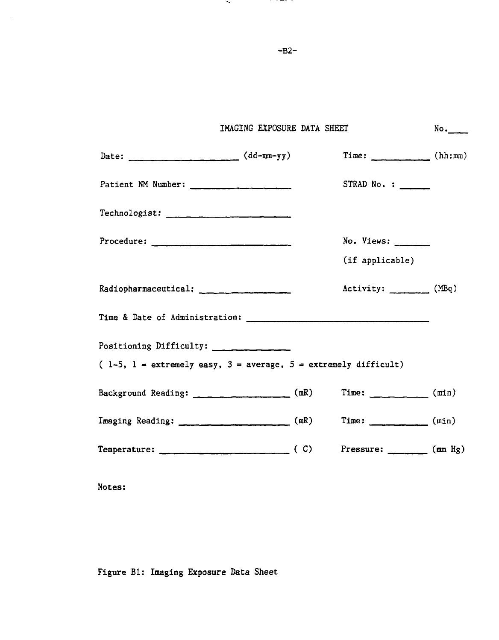| IMAGING EXPOSURE DATA SHEET                                       |                                                                                 | No. |
|-------------------------------------------------------------------|---------------------------------------------------------------------------------|-----|
| Date: $(dd - mm - yy)$                                            | Time: $(\text{hh:mm})$                                                          |     |
| Patient NM Number:                                                | $STRAD No. : \_\_$                                                              |     |
|                                                                   |                                                                                 |     |
|                                                                   | $No.$ Views: $\_\_$                                                             |     |
|                                                                   | (if applicable)                                                                 |     |
|                                                                   | Activity: (MBq)                                                                 |     |
|                                                                   |                                                                                 |     |
| Positioning Difficulty: _____________                             |                                                                                 |     |
| $(1-5, 1 = extremely easy, 3 = average, 5 = extremely difficult)$ |                                                                                 |     |
| Background Reading: (mR)                                          | Time: $(min)$                                                                   |     |
| Imaging Reading: (mR)                                             | Time: $\frac{1}{\sqrt{1-\frac{1}{2}}\cdot\frac{1}{\sqrt{1-\frac{1}{2}}}}$ (min) |     |
|                                                                   | Pressure: $\frac{1}{\sqrt{1-\frac{1}{2}}}\tan\frac{Hg}{g}$                      |     |

Notes:

Figure Bl: Imaging Exposure Data Sheet

-B2-

 $\mathcal{D}_{\mathcal{F}}$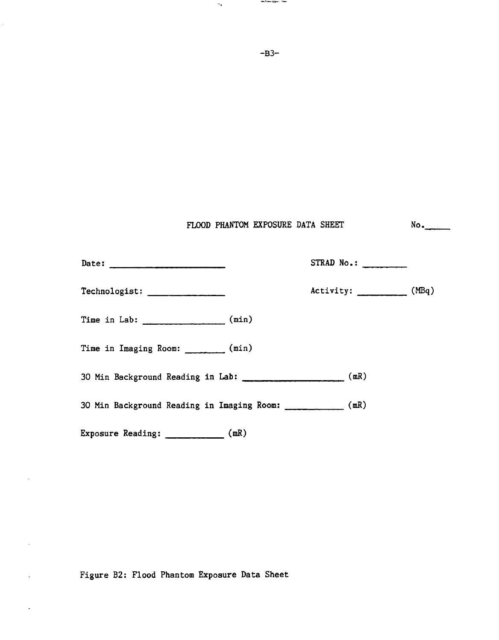| ۰.                                                            | and workers, the                  |        |
|---------------------------------------------------------------|-----------------------------------|--------|
|                                                               | $-B3-$                            |        |
|                                                               |                                   |        |
|                                                               |                                   |        |
|                                                               |                                   |        |
|                                                               | FLOOD PHANTOM EXPOSURE DATA SHEET | $No$ . |
| Date: $\qquad \qquad$                                         | STRAD $No.:$                      |        |
| Technologist: ________________                                | Activity: (MBq)                   |        |
|                                                               |                                   |        |
| Time in Lab: $\frac{1}{2}$ (min)                              |                                   |        |
| Time in Imaging Room: ________ (min)                          |                                   |        |
| 30 Min Background Reading in Lab: ______________________ (mR) |                                   |        |
| 30 Min Background Reading in Imaging Room: ____________ (mR)  |                                   |        |

 $\bar{z}$ 

 $\bar{z}$ 

 $\ddot{\phantom{a}}$ 

 $\ddot{\phantom{0}}$ 

 $\ddot{\phantom{a}}$ 

**Figure B2: Flood Phantom Exposure Data Sheet**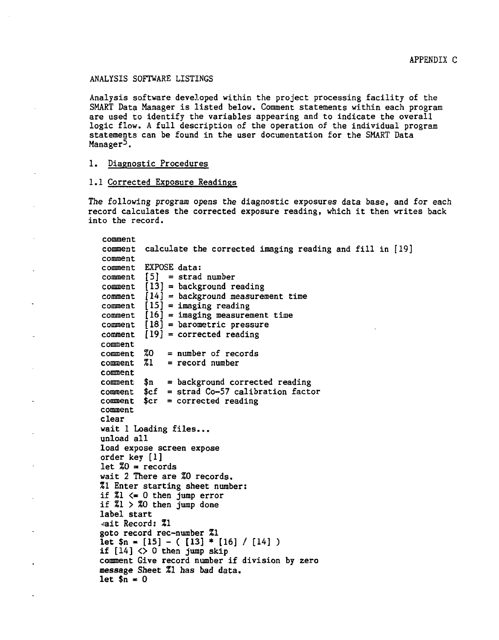### ANALYSIS SOFTWARE LISTINGS

Analysis software developed within the project processing facility of the SMART Data Manager is listed below. Comment statements within each program are used to identify the variables appearing and to indicate the overall logic flow. A full description of the operation of the individual program statements can be found in the user documentation for the SMART Data Manager<sup>5</sup>.

### 1. Diagnostic Procedures

### 1.1 Corrected Exposure Readings

The following program opens the diagnostic exposures data base, and for each record calculates the corrected exposure reading, which it then writes back into the record.

comment comment calculate the corrected imaging reading and fill in [19] comment comment EXPOSE data: comment  $[5]$  = strad number comment  $[13]$  = background reading comment  $[14]$  = background measurement time comment  $[15]$  = imaging reading comment  $[16]$  = imaging measurement time  $comment$   $[18]$  = barometric pressure  $comment$   $[19]$  = corrected reading comment<br>comment %0  $comment \t 20 = number of records  
comment \t 21 = record number$  $=$  record number comment  $comment$   $$n = background corrected reading$ comment  $\text{Set}$  = strad Co-57 calibration factor comment  $\text{Scr} = \text{corrected reading}$ comment clear wait 1 Loading files... unload all load expose screen expose order key [1] let  $Z0 =$  records wait 2 There are %0 records. %1 Enter starting sheet number: if  $Z_1 \leq 0$  then jump error if  $Z1 > Z0$  then jump done label start •/ait Record: %l goto record rec-number %1 let  $\mathfrak{S}_n = [15] - (13] * [16] / [14]$ ) if  $[14]$   $\diamond$  0 then jump skip comment Give record number if division by zero message Sheet %l has bad data. let  $\sin = 0$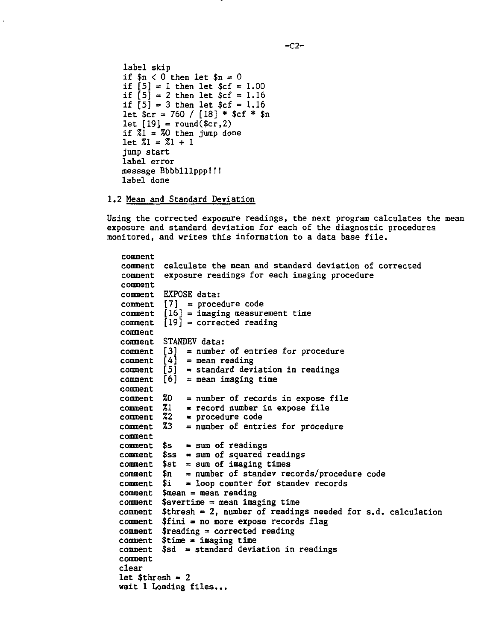```
label skip
if n < 0 then let n = 0if [5] = 1 then let $cf = 1.00if \begin{bmatrix} 5 \end{bmatrix} = 2 then let \$cf = 1.16if [5] = 3 then let f = 1.16let \frac{2}{3}cr = 760 / [18] * \frac{2}{3}cf * \frac{2}{3}n
let [19] = \text{round}(\text{scr}, 2)if z_1 = z_0 then jump done
let 21 = 21 + 1jump start
label error
message Bbbblllppp!! !
label done
```
# 1.2 Mean and Standard Deviation

Using the corrected exposure readings, the next program calculates the mean exposure and standard deviation for each of the diagnostic procedures monitored, and writes this information to a data base file.

```
comment calculate the mean and standard deviation of corrected
comment exposure readings for each imaging procedure
comment EXPOSE data:
\texttt{comment} \quad [7] \texttt{ = procedure code}comment [16] = imaging measurement time
\verb|command|[19] = corrected reading|comment STANDEV data:
comment
comment
comment
comment
[3]
= number of entries for procedure
comment
[4]
= mean reading
comment
[5]
= standard deviation in readings
comment
[6]
= mean imaging time
comment
comment
= number of records in expose file
comment z_1 = record number in expose file
comment
%2
= procedure code
comment
%3
= number of entries for procedure
comment
comment
$s
sum of readings
\verb|command $ss = sum of squared readingscomment
$st
sum of imaging times
comment
$n
comment
$i
comment
$mean = mean reading
comment
$avertime = mean imaging time
comment
$thresh • 2, number of readings needed for s.d. calculation
comment $fini = no more expose records flag
comment
$reading = corrected reading
comment
$time * imaging time
comment
$sd = standard deviation in readingscomment
clear
let $thresh = 2wait 1 Loading files...
              = number of standev records/procedure code
              loop counter for standev records
```

```
-C2-
```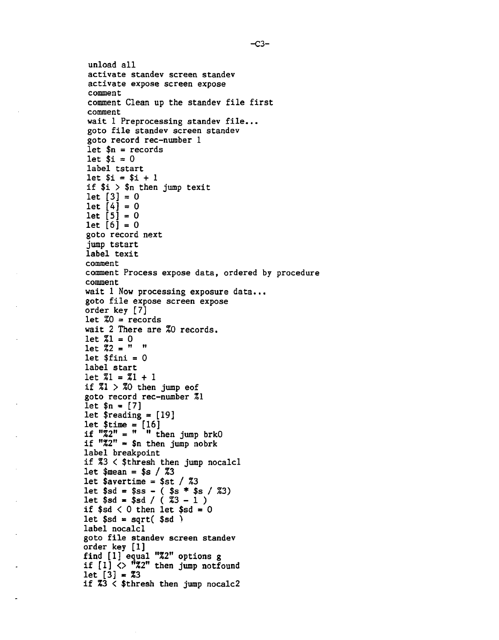unload all activate standev screen standev activate expose screen expose comment comment Clean up the standev file first comment wait 1 Preprocessing standev file... goto file standev screen standev goto record rec-number 1 let  $$sin = records$$ let  $$i = 0$ label tstart let \$i = \$i + 1 if \$i > \$n then jump texit  $let [3] = 0$ let  $[4] = 0$  $let [5] = 0$  $let [6] = 0$ goto record next jump tstart label texit comment comment Process expose data, ordered by procedure comment wait 1 Now processing exposure data... goto file expose screen expose order key [7] let  $Z0 =$  records wait 2 There are %0 records.  $let Z1 = 0$ let  $2^2$  =  $" "$ let  $$fini = 0$ label start  $let Z1 = Z1 + 1$ if  $21 > 20$  then jump eof goto record rec-number %1 let \$n = [7] let  $\frac{10}{3}$  = [19] let \$time = [16] if "%2" = " " then jump brkO if  $"2" = $n$ then jump nobrk$ label breakpoint if %3 < \$thresh then jump nocalcl let  $$mean = $s / 23$ let \$avertime = \$st  $\frac{\sqrt{23}}{23}$ let \$sd = \$ss - ( \$s \* \$s / %3) let \$sd - \$sd / ( Z3 - 1 ) if  $$sd < 0$  then let  $$sd = 0$ let  $$sd = sqrt( $sd )$ label nocalcl goto file standev screen standev order key [1] find [1] equal "%2" options g if  $[1]$   $\Diamond$  "%2" then jump notfound  $let [3] = 23$ if  $33 <$  \$thresh then jump nocalc2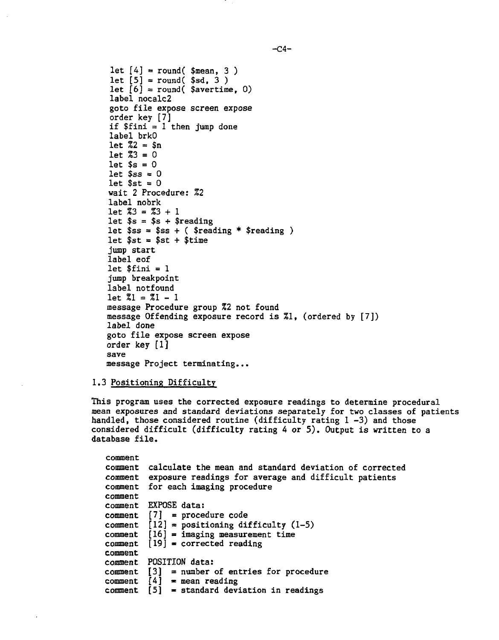```
let [4] = round($mean, 3)
let [5] = \text{round}($sd, 3)
let \begin{bmatrix} 6 \end{bmatrix} = round( $avertime, 0)
label nocalc2
goto file expose screen expose
order key [7]
if $fini = 1 then jump done
label brkO
let Z2 = Snlet Z3 = 0let s = 0let s_{ss} = 0let sst = 0
wait 2 Procedure: %2
label nobrk
let Z3 = Z3 + 1let s = s + s reading
let s = s + ( \frac{1}{2} \cdot \frac{1}{2})let sst = sst + stime
jump start
label eof
let $fini = 1jump breakpoint
label notfound
let \ 21 = 21 - 1message Procedure group %2 not found
message Offending exposure record is %1, (ordered by [7])
label done
goto file expose screen expose
order key [1]
save
message Project terminating...
```
## 1.3 Positioning Difficulty

This program uses the corrected exposure readings to determine procedural mean exposures and standard deviations separately for two classes of patients handled, those considered routine (difficulty rating 1-3) and those considered difficult (difficulty rating 4 or 5). Output is written to a database file.

```
comment
comment calculate the mean and standard deviation of corrected
comment exposure readings for average and difficult patients
comment for each imaging procedure
comment
comment EXPOSE data:
comment [7] = procedure code
comment [12] = positioning difficulty (1-5)
comment [16] = imaging measurement time
comment [19] = corrected reading
comment
comment POSITION data:
comment [3] = number of entries for procedure
comment [4] = mean reading
comment [5] = standard deviation in readings
```
 $-CA-$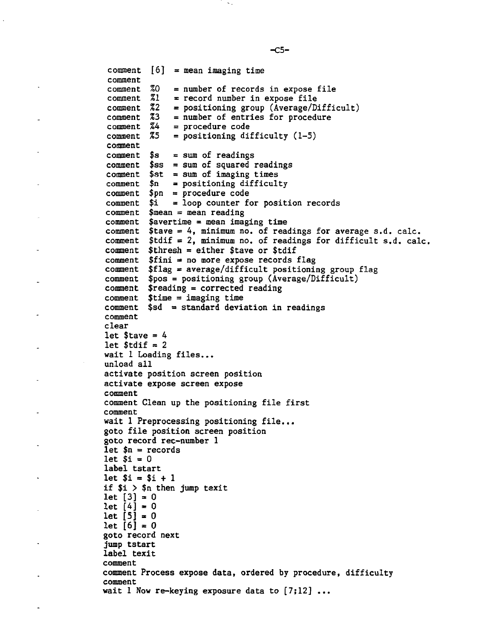```
\texttt{comment} \quad \texttt{[6]} \texttt{ = mean imaging time}comment <sup>72</sup><sub>22</sub>
 comment <sup>73</sup>
 comment <sup>74</sup>
 %5
comment
 comment $s
 comment $ss = sum of squared readings
 comment $st = sum of imaging times
 comment $n
 comment $pn = procedure code
 comment $i
 comment $mean = mean reading
               = number of records in expose file
               = record number in expose file
               = positioning group (Average/Difficult)
               = number of entries for procedure
               = procedure code
               = positioning difficulty (1-5)
               = sum of readings
              = positioning difficulty
              = loop counter for position records
comment $avertime = mean imaging time
comment $tave = 4, minimum no. of readings for average s.d. calc.
comment $tdif = 2, minimum no. of readings for difficult s.d. calc.
comment $thresh = either $tave or $tdif
          $fini = no more expose records flag
          $flag = average/difficult positioning group flag
comment $pos = positioning group (Average/Difficult)
comment $reading = corrected reading
comment $time = imaging time
comment $sd = standard deviation in readings
 comment
comment %0
comment %1
comment
comment
comment
comment
clear
let stave = 4let $tdif = 2wait 1 Loading files...
unload all
activate position screen position
activate expose screen expose
comment
comment Clean up the positioning file first
comment
wait 1 Preprocessing positioning file...
goto file position screen position
goto record rec-number 1
let $n = recordslet Si = 0label tstart
let Si = Si + 1if $i > $n then jump texit
let [3] = 0let [4] = 0let [5] = 0let [6] = 0goto record next
jump tstart
label texit
comment
comment Process expose data, ordered by procedure, difficulty
comment
wait 1 Now re-keying exposure data to [7;12] ...
```
 $-C5-$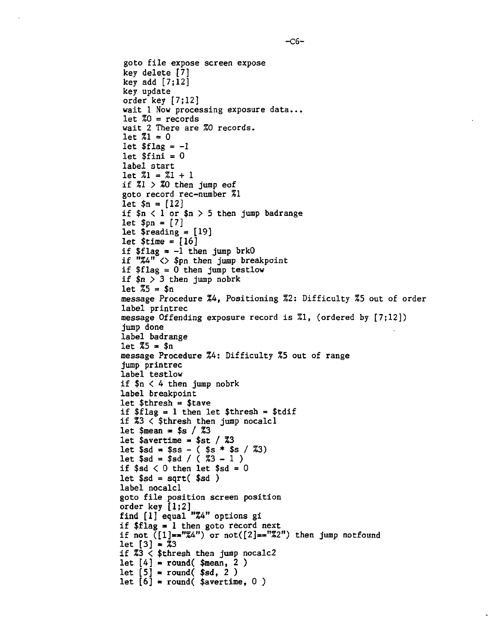```
goto file expose screen expose
key delete [7]
key add [7;12]
key update
order key [7;12]
wait 1 Now processing exposure data...
let Z_0 = records
wait 2 There are %0 records.
let 71 = 0let $flag = -1let $fini = 0label start
let \ 21 = 21 + 1if Z1 > Z0 then jump eof
goto record rec-number %1
let $n = [12]if n < 1 or n > 5 then jump badrange
let $pn = [7]let \frac{10}{3} reading = [19]
let time = [16]if $flag = -1 then jump brk0if "%4" <> $pn then jump breakpoint
if $flag = 0 then jump testlowif $n > 3 then jump nobrk
let 75 = $nmessage Procedure %4, Positioning %2: Difficulty %5 out of order
label printrec
message Offending exposure record is %1, (ordered by [7;12])
jump done
label badrange
let %5 = $n
message Procedure %4: Difficulty %5 out of range
jump printrec
label testlow
if n < 4 then jump nobrk
label breakpoint
let $thresh = $tave
if $flag = 1 then let $thresh = $tdif
if %3 < $thresh then jump nocalcl
let $mean « $s / %3
let $avertime = $st / 73let $sd » $ss - ( $s * $s / %3)
let $sd = $sd / ( 83 - 1 )if $sd < 0 then let $sd = 0let $sd = sqrt( $sd )label nocalcl
goto file position screen position
order key [1;2]find [1] equal "%4" options gi
if flag = 1 then goto record next
if not (1)=="%4") or not([2]=="%2") then jump notfound
let [3] = 73if %3 < $thresh then jump nocalc2
let [4] = round($mean, 2)
let [5] = \text{round}( $sd, 2)
let [6] = round($avertime, 0)
```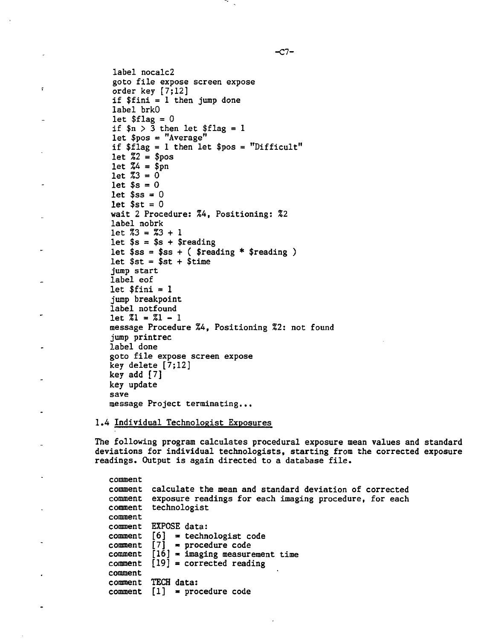label nocalc2 goto file expose screen expose order key [7;12] if \$fini = 1 then jump done label brkO let  $$flag = 0$ if  $n > 3$  then let  $flag = 1$ let  $$pos = "Average"$ if \$flag = 1 then let \$pos = "Difficult" let  $Z^2 = $pos$ let  $Z4 =$ \$pn  $let 73 = 0$ let  $$s = 0$ let  $s_{ss} = 0$ let  $$st = 0$ wait 2 Procedure: %4, Positioning: %2 label nobrk  $let 73 = 73 + 1$ let  $s = s + s$  reading let  $s = s + ($  \$reading \* \$reading ) let  $$st = $st + $time$ jump start label eof let  $$fini = 1$ jump breakpoint label notfound  $let \ 71 = 71 - 1$ message Procedure %4, Positioning %2: not found jump printrec label done goto file expose screen expose key delete [7;12] key add [7] key update save message Project terminating...

ç.

1.4 Individual Technologist Exposures

The following program calculates procedural exposure mean values and standard deviations for individual technologists, starting from the corrected exposure readings. Output is again directed to a database file.

comment comment calculate the mean and standard deviation of corrected comment exposure readings for each imaging procedure, for each comment technologist comment comment EXPOSE data:  $comment [6] = technologies code$ comment  $[7]$  = procedure code comment  $[16]$  = imaging measurement time  $comment$   $[19]$  = corrected reading comment comment TECH data: comment  $[1]$  = procedure code

 $-C7-$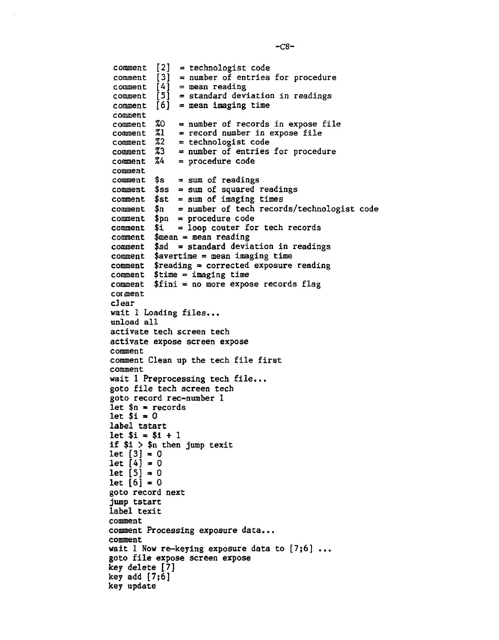[2] = technologist code comment [3] = number of entries for procedure comment  $\begin{bmatrix} 4 \\ 4 \end{bmatrix}$  = mean reading [5] = standard deviation in readings comment [6] = mean imaging time comment %2 %3 = number of entries for procedure comment X4 comment comment \$ss = sum of squared readings comment \$st = sum of imaging times \$n = \$pn = comment \$i = comment \$mean = mean reading comment \$sd = standard deviation in readings  $=$  number of records in expose file = record number in expose file = technologist code = procedure code = sum of readings = number of tech records/technologist code - procedure code loop coûter for tech records comment \$avertime = mean imaging time comment \$reading = corrected exposure reading comment \$time = imaging time comment \$fini = no more expose records flag comment comment comment comment comment comment \$s comment comment comment clear wait 1 Loading files... unload all activate tech screen tech activate expose screen expose comment comment Clean up the tech file first comment wait 1 Preprocessing tech file... goto file tech screen tech goto record rec-number 1 let  $n =$  records let  $$i \neq 0$ label tstart  $let$   $$i = $i + 1$ if \$i > \$n then jump texit let  $[3] = 0$  $let [4] = 0$  $let [5] = 0$  $let [6] = 0$ goto record next jump tstart label texit comment comment Processing exposure data... comment wait 1 Now re-keying exposure data to  $[7;6]$ ... goto file expose screen expose key delete [7] key add [7;6] key update

 $-c8-$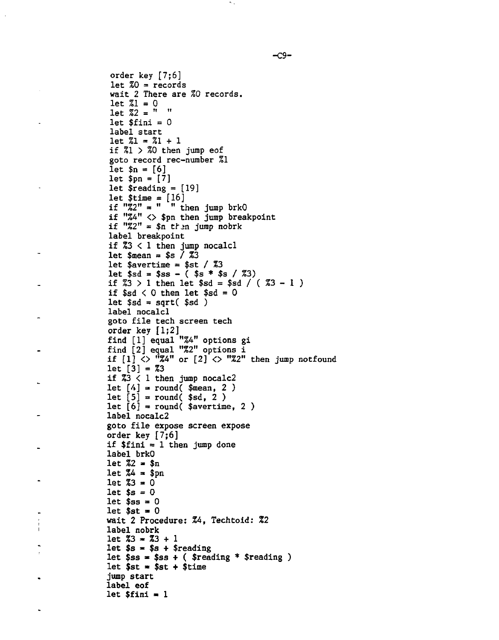```
order key [7;6]
let Z0 = records
wait 2 There are %0 records.
let Z1 = 0let Z^2 = " "
let $final = 0label start
let 21 = 21 + 1if x_1 > x_0 then jump eof
goto record rec-number %1
let $n = [6]let $pn = [7]let $reading = [19]
let $time = [16]
if "%2" = " " then jump brkO
if "%4" <> $pn then jump breakpoint
if "Z2" = $n then jump nobrk
label breakpoint
if %3 < 1 then jump nocalcl
let \text{mean} = \text{ss} / \text{Z}3let $avertime = $st / 73let $sd = $ss - ( $s * $s / 23)if \sqrt{3} > 1 then let \sqrt{5}d = \sqrt{5}d / (\sqrt{3}3 - 1 )
if sd < 0 then let sd = 0let $sd = sqrt( $sd )label nocalcl
goto file tech screen tech
order key [1;2]
find [1] equal "%4" options gi
find [2] equal "%2" options i
if [1] \langle \rangle "%4" or [2] \langle \rangle "%2" then jump notfound
let [3] = \sqrt[7]{3}if 3 < 1 then jump nocalc2
let [4] = \text{round}( $mean, 2)
let [5] = round( $sd, 2 )
let [6] = round( $avertime, 2)
label nocalc2
goto file expose screen expose
order key [7;6]
if $fini = 1 then jump done
label brkO
let Z2 = $nlet Z_4 = $pn
let 73 = 0let $s = 0let $ss = 0let $st = 0wait 2 Procedure: 24, Techtoid: %2
label nobrk
let 23 = 23 + 1let $s = $s + $readinglet s = s + ( \frac{s}{s} \frac{s}{s} \frac{s}{s} \frac{s}{s} \frac{s}{s} \frac{s}{s}let $st = $st + $timejump start
label eof
let $final = 1
```
-C9-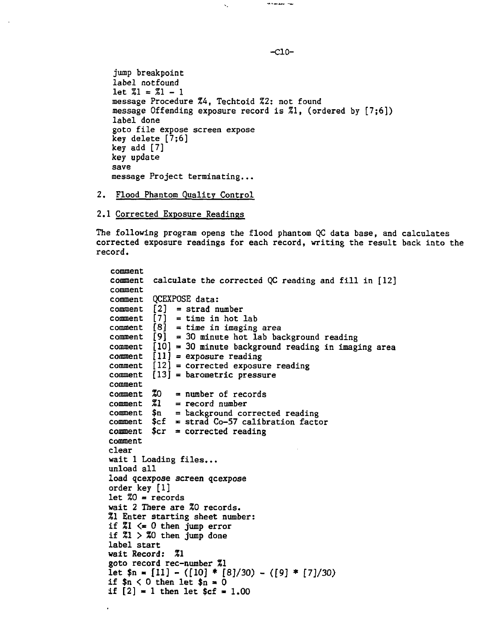jump breakpoint label notfound let  $Z1 = Z1 - 1$ message Procedure %4, Techtoid %2: not found message Offending exposure record is %1, (ordered by [7;6]) label done goto file expose screen expose key delete [7;6] key add [7] key update save message Project terminating...

k.

- 2. Flood Phantom Quality Control
- 2.1 Corrected Exposure Readings

The following program opens the flood phantom QC data base, and calculates corrected exposure readings for each record, writing the result back into the record.

```
comment
comment calculate the corrected QC reading and fill in [12]
comment
comment QCEXPOSE data:
comment [2] = strad number
comment [7] = time in hot lab
comment [8] = time in imaging area
comment [9] = 30 minute hot lab background reading
comment [10] = 30 minute background reading in imaging area
comment [11] = exposure reading
comment [12] = corrected exposure reading
comment [13] = barometric pressure
comment
comment 20 = number of records
comment \quad 21 = record numbercomment $n = background corrected reading
comment $cf = strad Co-57 calibration factor
comment $cr = corrected readingcomment
clear
wait 1 Loading files...
unload all
load qcexpose screen qcexpose
order key [1]
let 20 = records
wait 2 There are %0 records.
%1 Enter starting sheet number:
if 21 \leq 0 then jump error
if 21 > 20 then jump done
label start
wait Record: %1
goto record rec-number %1
let \mathfrak{sn} = [11] - ([10] * [8]/30) - ([9] * [7]/30)if n < 0 then let n = 0if [2] = 1 then let C = 1.00
```
-C10-

Material Corp.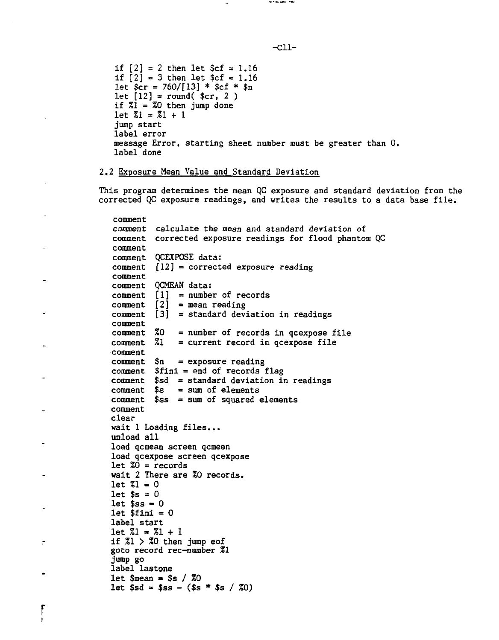if  $[2] = 2$  then let  $\frac{2}{3}c$  = 1.16 if  $[2] = 3$  then let  $c = 1.16$ let  $\frac{1}{2}$  = 760/[13] \*  $\frac{1}{2}$  fcf \*  $\frac{1}{2}$ n let  $[12] = \text{round}($  \$cr, 2) if  $Z1 = Z0$  then jump done  $let \ 71 = 71 + 1$ jump start label error message Error, starting sheet number must be greater than 0. label done

## 2.2 Exposure Mean Value and Standard Deviation

This program determines the mean QC exposure and standard deviation from the corrected QC exposure readings, and writes the results to a data base file.

```
comment
comment calculate the mean and standard deviation of
comment corrected exposure readings for flood phantom QC
comment
comment QCEXPOSE data:
comment [12] = corrected exposure reading
comment
comment QCMEAN data:
comment [1] = number of records
comment [2] = mean reading
comment [3] = standard deviation in readings
comment<br>comment %0
comment \sqrt[2]{30} = number of records in qcexpose file<br>comment \sqrt[2]{31} = current record in qcexpose file
               = current record in qcexpose file
comment
comment n = exposure reading
comment $fini = end of records flag
comment $sd = standard deviation in readings
comment $s = sum of elements
comment s_{ss} = sum of squared elements
comment
clear
wait 1 Loading files...
unload all
load qcmean screen qcmean
load qcexpose screen qcexpose
let 20 = records
wait 2 There are %Q records.
let 21 = 0let $s = 0let s = 0let $fini = 0label start
let \, 21 = 21 + 1if Z1 > Z0 then jump eof
goto record rec-number %l
jump go
label lastone
let \text{Smean} = \text{S} \times \text{70}let $sd = $ss - ($s * $s / 20)
```
-Cll-

**And Street Armed Primary**